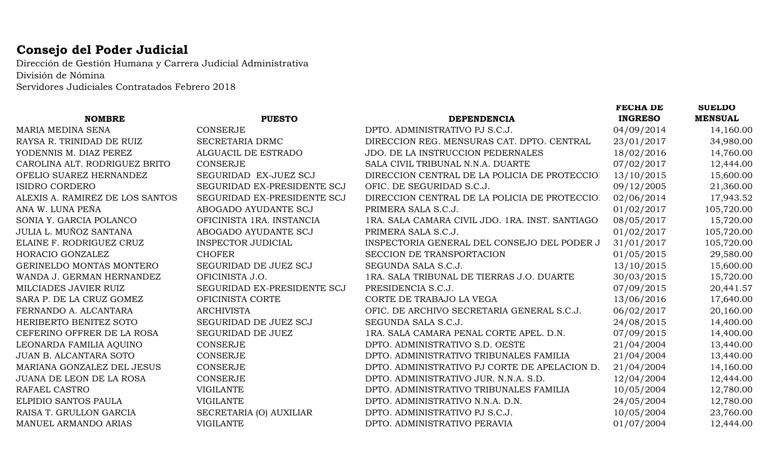## **Consejo del Poder Judicial**

Dirección de Gestión Humana y Carrera Judicial Administrativa División de Nómina Servidores Judiciales Contratados Febrero 2018

|                             |                                                 | <b>FECHA DE</b> | <b>SUELDO</b>  |
|-----------------------------|-------------------------------------------------|-----------------|----------------|
| <b>PUESTO</b>               | <b>DEPENDENCIA</b>                              | <b>INGRESO</b>  | <b>MENSUAL</b> |
| <b>CONSERJE</b>             | DPTO. ADMINISTRATIVO PJ S.C.J.                  | 04/09/2014      | 14,160.00      |
| SECRETARIA DRMC             | DIRECCION REG. MENSURAS CAT. DPTO. CENTRAL      | 23/01/2017      | 34,980.00      |
| ALGUACIL DE ESTRADO         | JDO. DE LA INSTRUCCION PEDERNALES               | 18/02/2016      | 14,760.00      |
| <b>CONSERJE</b>             | SALA CIVIL TRIBUNAL N.N.A. DUARTE               | 07/02/2017      | 12,444.00      |
| SEGURIDAD EX-JUEZ SCJ       | DIRECCION CENTRAL DE LA POLICIA DE PROTECCIOI   | 13/10/2015      | 15,600.00      |
| SEGURIDAD EX-PRESIDENTE SCJ | OFIC. DE SEGURIDAD S.C.J.                       | 09/12/2005      | 21,360.00      |
| SEGURIDAD EX-PRESIDENTE SCJ | DIRECCION CENTRAL DE LA POLICIA DE PROTECCIO!   | 02/06/2014      | 17,943.52      |
| ABOGADO AYUDANTE SCJ        | PRIMERA SALA S.C.J.                             | 01/02/2017      | 105,720.00     |
| OFICINISTA 1RA. INSTANCIA   | 1RA. SALA CAMARA CIVIL JDO. 1RA. INST. SANTIAGO | 08/05/2017      | 15,720.00      |
| ABOGADO AYUDANTE SCJ        | PRIMERA SALA S.C.J.                             | 01/02/2017      | 105,720.00     |
| <b>INSPECTOR JUDICIAL</b>   | INSPECTORIA GENERAL DEL CONSEJO DEL PODER J     | 31/01/2017      | 105,720.00     |
| <b>CHOFER</b>               | SECCION DE TRANSPORTACION                       | 01/05/2015      | 29,580.00      |
| SEGURIDAD DE JUEZ SCJ       | SEGUNDA SALA S.C.J.                             | 13/10/2015      | 15,600.00      |
| OFICINISTA J.O.             | 1RA. SALA TRIBUNAL DE TIERRAS J.O. DUARTE       | 30/03/2015      | 15,720.00      |
| SEGURIDAD EX-PRESIDENTE SCJ | PRESIDENCIA S.C.J.                              | 07/09/2015      | 20,441.57      |
| OFICINISTA CORTE            | CORTE DE TRABAJO LA VEGA                        | 13/06/2016      | 17,640.00      |
| <b>ARCHIVISTA</b>           | OFIC. DE ARCHIVO SECRETARIA GENERAL S.C.J.      | 06/02/2017      | 20,160.00      |
| SEGURIDAD DE JUEZ SCJ       | SEGUNDA SALA S.C.J.                             | 24/08/2015      | 14,400.00      |
| SEGURIDAD DE JUEZ           | 1RA. SALA CAMARA PENAL CORTE APEL. D.N.         | 07/09/2015      | 14,400.00      |
| <b>CONSERJE</b>             | DPTO. ADMINISTRATIVO S.D. OESTE                 | 21/04/2004      | 13,440.00      |
| <b>CONSERJE</b>             | DPTO. ADMINISTRATIVO TRIBUNALES FAMILIA         | 21/04/2004      | 13,440.00      |
| <b>CONSERJE</b>             | DPTO. ADMINISTRATIVO PJ CORTE DE APELACION D.   | 21/04/2004      | 14,160.00      |
| <b>CONSERJE</b>             | DPTO. ADMINISTRATIVO JUR. N.N.A. S.D.           | 12/04/2004      | 12,444.00      |
| <b>VIGILANTE</b>            | DPTO. ADMINISTRATIVO TRIBUNALES FAMILIA         | 10/05/2004      | 12,780.00      |
| <b>VIGILANTE</b>            | DPTO. ADMINISTRATIVO N.N.A. D.N.                | 24/05/2004      | 12,780.00      |
| SECRETARIA (O) AUXILIAR     | DPTO. ADMINISTRATIVO PJ S.C.J.                  | 10/05/2004      | 23,760.00      |
| <b>VIGILANTE</b>            | DPTO. ADMINISTRATIVO PERAVIA                    | 01/07/2004      | 12,444.00      |
|                             |                                                 |                 |                |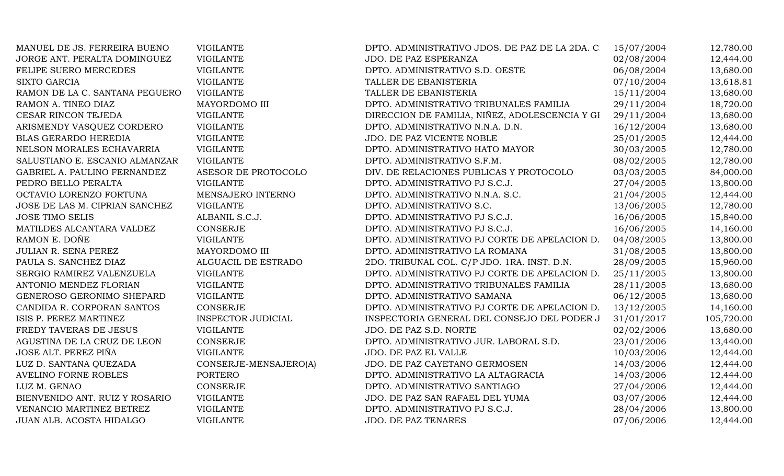| MANUEL DE JS. FERREIRA BUENO   | <b>VIGILANTE</b>          | DPTO. ADMINISTRATIVO JDOS. DE PAZ DE LA 2DA. C | 15/07/2004 | 12,780.00  |
|--------------------------------|---------------------------|------------------------------------------------|------------|------------|
| JORGE ANT. PERALTA DOMINGUEZ   | <b>VIGILANTE</b>          | JDO. DE PAZ ESPERANZA                          | 02/08/2004 | 12,444.00  |
| FELIPE SUERO MERCEDES          | <b>VIGILANTE</b>          | DPTO. ADMINISTRATIVO S.D. OESTE                | 06/08/2004 | 13,680.00  |
| <b>SIXTO GARCIA</b>            | <b>VIGILANTE</b>          | TALLER DE EBANISTERIA                          | 07/10/2004 | 13,618.81  |
| RAMON DE LA C. SANTANA PEGUERO | <b>VIGILANTE</b>          | TALLER DE EBANISTERIA                          | 15/11/2004 | 13,680.00  |
| RAMON A. TINEO DIAZ            | MAYORDOMO III             | DPTO. ADMINISTRATIVO TRIBUNALES FAMILIA        | 29/11/2004 | 18,720.00  |
| CESAR RINCON TEJEDA            | <b>VIGILANTE</b>          | DIRECCION DE FAMILIA, NIÑEZ, ADOLESCENCIA Y GI | 29/11/2004 | 13,680.00  |
| ARISMENDY VASQUEZ CORDERO      | <b>VIGILANTE</b>          | DPTO. ADMINISTRATIVO N.N.A. D.N.               | 16/12/2004 | 13,680.00  |
| <b>BLAS GERARDO HEREDIA</b>    | <b>VIGILANTE</b>          | JDO. DE PAZ VICENTE NOBLE                      | 25/01/2005 | 12,444.00  |
| NELSON MORALES ECHAVARRIA      | <b>VIGILANTE</b>          | DPTO. ADMINISTRATIVO HATO MAYOR                | 30/03/2005 | 12,780.00  |
| SALUSTIANO E. ESCANIO ALMANZAR | <b>VIGILANTE</b>          | DPTO. ADMINISTRATIVO S.F.M.                    | 08/02/2005 | 12,780.00  |
| GABRIEL A. PAULINO FERNANDEZ   | ASESOR DE PROTOCOLO       | DIV. DE RELACIONES PUBLICAS Y PROTOCOLO        | 03/03/2005 | 84,000.00  |
| PEDRO BELLO PERALTA            | <b>VIGILANTE</b>          | DPTO. ADMINISTRATIVO PJ S.C.J.                 | 27/04/2005 | 13,800.00  |
| OCTAVIO LORENZO FORTUNA        | MENSAJERO INTERNO         | DPTO. ADMINISTRATIVO N.N.A. S.C.               | 21/04/2005 | 12,444.00  |
| JOSE DE LAS M. CIPRIAN SANCHEZ | <b>VIGILANTE</b>          | DPTO. ADMINISTRATIVO S.C.                      | 13/06/2005 | 12,780.00  |
| <b>JOSE TIMO SELIS</b>         | ALBANIL S.C.J.            | DPTO. ADMINISTRATIVO PJ S.C.J.                 | 16/06/2005 | 15,840.00  |
| MATILDES ALCANTARA VALDEZ      | <b>CONSERJE</b>           | DPTO. ADMINISTRATIVO PJ S.C.J.                 | 16/06/2005 | 14,160.00  |
| RAMON E. DOÑE                  | <b>VIGILANTE</b>          | DPTO. ADMINISTRATIVO PJ CORTE DE APELACION D.  | 04/08/2005 | 13,800.00  |
| JULIAN R. SENA PEREZ           | MAYORDOMO III             | DPTO. ADMINISTRATIVO LA ROMANA                 | 31/08/2005 | 13,800.00  |
| PAULA S. SANCHEZ DIAZ          | ALGUACIL DE ESTRADO       | 2DO. TRIBUNAL COL. C/P JDO. 1RA. INST. D.N.    | 28/09/2005 | 15,960.00  |
| SERGIO RAMIREZ VALENZUELA      | <b>VIGILANTE</b>          | DPTO. ADMINISTRATIVO PJ CORTE DE APELACION D.  | 25/11/2005 | 13,800.00  |
| ANTONIO MENDEZ FLORIAN         | <b>VIGILANTE</b>          | DPTO. ADMINISTRATIVO TRIBUNALES FAMILIA        | 28/11/2005 | 13,680.00  |
| GENEROSO GERONIMO SHEPARD      | <b>VIGILANTE</b>          | DPTO. ADMINISTRATIVO SAMANA                    | 06/12/2005 | 13,680.00  |
| CANDIDA R. CORPORAN SANTOS     | <b>CONSERJE</b>           | DPTO. ADMINISTRATIVO PJ CORTE DE APELACION D.  | 13/12/2005 | 14,160.00  |
| ISIS P. PEREZ MARTINEZ         | <b>INSPECTOR JUDICIAL</b> | INSPECTORIA GENERAL DEL CONSEJO DEL PODER J    | 31/01/2017 | 105,720.00 |
| FREDY TAVERAS DE JESUS         | <b>VIGILANTE</b>          | JDO. DE PAZ S.D. NORTE                         | 02/02/2006 | 13,680.00  |
| AGUSTINA DE LA CRUZ DE LEON    | <b>CONSERJE</b>           | DPTO. ADMINISTRATIVO JUR. LABORAL S.D.         | 23/01/2006 | 13,440.00  |
| JOSE ALT. PEREZ PIÑA           | <b>VIGILANTE</b>          | JDO. DE PAZ EL VALLE                           | 10/03/2006 | 12,444.00  |
| LUZ D. SANTANA QUEZADA         | CONSERJE-MENSAJERO(A)     | JDO. DE PAZ CAYETANO GERMOSEN                  | 14/03/2006 | 12,444.00  |
| AVELINO FORNE ROBLES           | <b>PORTERO</b>            | DPTO. ADMINISTRATIVO LA ALTAGRACIA             | 14/03/2006 | 12,444.00  |
| LUZ M. GENAO                   | <b>CONSERJE</b>           | DPTO. ADMINISTRATIVO SANTIAGO                  | 27/04/2006 | 12,444.00  |
| BIENVENIDO ANT. RUIZ Y ROSARIO | <b>VIGILANTE</b>          | JDO. DE PAZ SAN RAFAEL DEL YUMA                | 03/07/2006 | 12,444.00  |
| VENANCIO MARTINEZ BETREZ       | <b>VIGILANTE</b>          | DPTO. ADMINISTRATIVO PJ S.C.J.                 | 28/04/2006 | 13,800.00  |
| JUAN ALB. ACOSTA HIDALGO       | <b>VIGILANTE</b>          | JDO. DE PAZ TENARES                            | 07/06/2006 | 12,444.00  |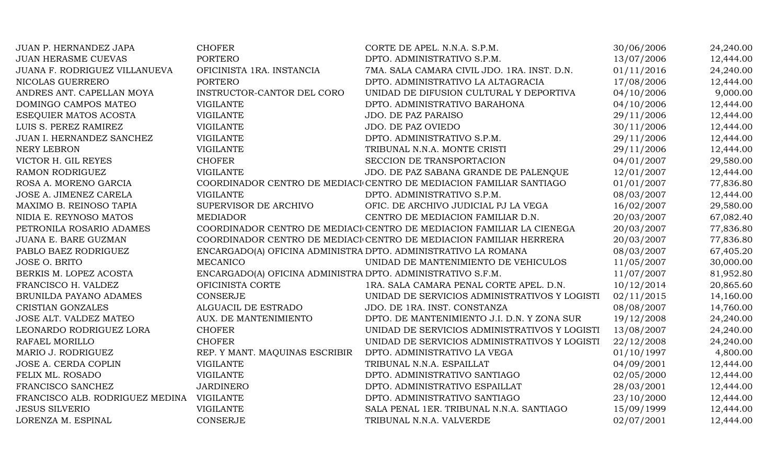| <b>JUAN P. HERNANDEZ JAPA</b>   | <b>CHOFER</b>                                               | CORTE DE APEL. N.N.A. S.P.M.                                          | 30/06/2006 | 24,240.00 |
|---------------------------------|-------------------------------------------------------------|-----------------------------------------------------------------------|------------|-----------|
| <b>JUAN HERASME CUEVAS</b>      | <b>PORTERO</b>                                              | DPTO. ADMINISTRATIVO S.P.M.                                           | 13/07/2006 | 12,444.00 |
| JUANA F. RODRIGUEZ VILLANUEVA   | OFICINISTA 1RA. INSTANCIA                                   | 7MA. SALA CAMARA CIVIL JDO. 1RA. INST. D.N.                           | 01/11/2016 | 24,240.00 |
| NICOLAS GUERRERO                | <b>PORTERO</b>                                              | DPTO. ADMINISTRATIVO LA ALTAGRACIA                                    | 17/08/2006 | 12,444.00 |
| ANDRES ANT. CAPELLAN MOYA       | INSTRUCTOR-CANTOR DEL CORO                                  | UNIDAD DE DIFUSION CULTURAL Y DEPORTIVA                               | 04/10/2006 | 9,000.00  |
| DOMINGO CAMPOS MATEO            | <b>VIGILANTE</b>                                            | DPTO. ADMINISTRATIVO BARAHONA                                         | 04/10/2006 | 12,444.00 |
| ESEQUIER MATOS ACOSTA           | <b>VIGILANTE</b>                                            | <b>JDO. DE PAZ PARAISO</b>                                            | 29/11/2006 | 12,444.00 |
| LUIS S. PEREZ RAMIREZ           | <b>VIGILANTE</b>                                            | JDO. DE PAZ OVIEDO                                                    | 30/11/2006 | 12,444.00 |
| JUAN I. HERNANDEZ SANCHEZ       | <b>VIGILANTE</b>                                            | DPTO. ADMINISTRATIVO S.P.M.                                           | 29/11/2006 | 12,444.00 |
| NERY LEBRON                     | <b>VIGILANTE</b>                                            | TRIBUNAL N.N.A. MONTE CRISTI                                          | 29/11/2006 | 12,444.00 |
| VICTOR H. GIL REYES             | <b>CHOFER</b>                                               | SECCION DE TRANSPORTACION                                             | 04/01/2007 | 29,580.00 |
| RAMON RODRIGUEZ                 | <b>VIGILANTE</b>                                            | JDO. DE PAZ SABANA GRANDE DE PALENQUE                                 | 12/01/2007 | 12,444.00 |
| ROSA A. MORENO GARCIA           |                                                             | COORDINADOR CENTRO DE MEDIACI CENTRO DE MEDIACION FAMILIAR SANTIAGO   | 01/01/2007 | 77,836.80 |
| JOSE A. JIMENEZ CARELA          | <b>VIGILANTE</b>                                            | DPTO. ADMINISTRATIVO S.P.M.                                           | 08/03/2007 | 12,444.00 |
| MAXIMO B. REINOSO TAPIA         | SUPERVISOR DE ARCHIVO                                       | OFIC. DE ARCHIVO JUDICIAL PJ LA VEGA                                  | 16/02/2007 | 29,580.00 |
| NIDIA E. REYNOSO MATOS          | <b>MEDIADOR</b>                                             | CENTRO DE MEDIACION FAMILIAR D.N.                                     | 20/03/2007 | 67,082.40 |
| PETRONILA ROSARIO ADAMES        |                                                             | COORDINADOR CENTRO DE MEDIACI CENTRO DE MEDIACION FAMILIAR LA CIENEGA | 20/03/2007 | 77,836.80 |
| JUANA E. BARE GUZMAN            |                                                             | COORDINADOR CENTRO DE MEDIACI CENTRO DE MEDIACION FAMILIAR HERRERA    | 20/03/2007 | 77,836.80 |
| PABLO BAEZ RODRIGUEZ            |                                                             | ENCARGADO(A) OFICINA ADMINISTRA DPTO. ADMINISTRATIVO LA ROMANA        | 08/03/2007 | 67,405.20 |
| <b>JOSE O. BRITO</b>            | <b>MECANICO</b>                                             | UNIDAD DE MANTENIMIENTO DE VEHICULOS                                  | 11/05/2007 | 30,000.00 |
| BERKIS M. LOPEZ ACOSTA          | ENCARGADO(A) OFICINA ADMINISTRA DPTO. ADMINISTRATIVO S.F.M. |                                                                       | 11/07/2007 | 81,952.80 |
| FRANCISCO H. VALDEZ             | OFICINISTA CORTE                                            | 1RA. SALA CAMARA PENAL CORTE APEL. D.N.                               | 10/12/2014 | 20,865.60 |
| BRUNILDA PAYANO ADAMES          | <b>CONSERJE</b>                                             | UNIDAD DE SERVICIOS ADMINISTRATIVOS Y LOGISTI                         | 02/11/2015 | 14,160.00 |
| CRISTIAN GONZALES               | ALGUACIL DE ESTRADO                                         | JDO. DE 1RA. INST. CONSTANZA                                          | 08/08/2007 | 14,760.00 |
| JOSE ALT. VALDEZ MATEO          | AUX. DE MANTENIMIENTO                                       | DPTO. DE MANTENIMIENTO J.I. D.N. Y ZONA SUR                           | 19/12/2008 | 24,240.00 |
| LEONARDO RODRIGUEZ LORA         | <b>CHOFER</b>                                               | UNIDAD DE SERVICIOS ADMINISTRATIVOS Y LOGISTI                         | 13/08/2007 | 24,240.00 |
| RAFAEL MORILLO                  | <b>CHOFER</b>                                               | UNIDAD DE SERVICIOS ADMINISTRATIVOS Y LOGISTI                         | 22/12/2008 | 24,240.00 |
| MARIO J. RODRIGUEZ              | REP. Y MANT. MAQUINAS ESCRIBIR                              | DPTO. ADMINISTRATIVO LA VEGA                                          | 01/10/1997 | 4,800.00  |
| JOSE A. CERDA COPLIN            | <b>VIGILANTE</b>                                            | TRIBUNAL N.N.A. ESPAILLAT                                             | 04/09/2001 | 12,444.00 |
| FELIX ML. ROSADO                | <b>VIGILANTE</b>                                            | DPTO. ADMINISTRATIVO SANTIAGO                                         | 02/05/2000 | 12,444.00 |
| FRANCISCO SANCHEZ               | <b>JARDINERO</b>                                            | DPTO. ADMINISTRATIVO ESPAILLAT                                        | 28/03/2001 | 12,444.00 |
| FRANCISCO ALB. RODRIGUEZ MEDINA | VIGILANTE                                                   | DPTO. ADMINISTRATIVO SANTIAGO                                         | 23/10/2000 | 12,444.00 |
| <b>JESUS SILVERIO</b>           | <b>VIGILANTE</b>                                            | SALA PENAL 1ER. TRIBUNAL N.N.A. SANTIAGO                              | 15/09/1999 | 12,444.00 |
| LORENZA M. ESPINAL              | <b>CONSERJE</b>                                             | TRIBUNAL N.N.A. VALVERDE                                              | 02/07/2001 | 12,444.00 |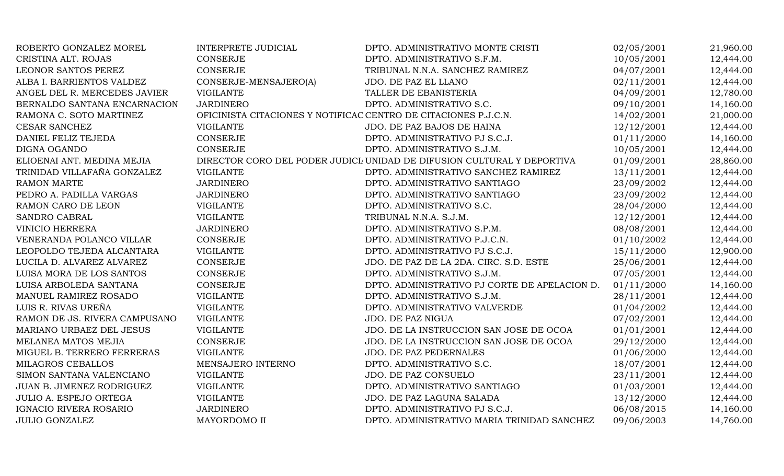| ROBERTO GONZALEZ MOREL        | INTERPRETE JUDICIAL                                             | DPTO. ADMINISTRATIVO MONTE CRISTI                                       | 02/05/2001 | 21,960.00 |
|-------------------------------|-----------------------------------------------------------------|-------------------------------------------------------------------------|------------|-----------|
| CRISTINA ALT. ROJAS           | CONSERJE                                                        | DPTO. ADMINISTRATIVO S.F.M.                                             | 10/05/2001 | 12,444.00 |
| LEONOR SANTOS PEREZ           | CONSERJE                                                        | TRIBUNAL N.N.A. SANCHEZ RAMIREZ                                         | 04/07/2001 | 12,444.00 |
| ALBA I. BARRIENTOS VALDEZ     | CONSERJE-MENSAJERO(A)                                           | JDO. DE PAZ EL LLANO                                                    | 02/11/2001 | 12,444.00 |
| ANGEL DEL R. MERCEDES JAVIER  | <b>VIGILANTE</b>                                                | TALLER DE EBANISTERIA                                                   | 04/09/2001 | 12,780.00 |
| BERNALDO SANTANA ENCARNACION  | <b>JARDINERO</b>                                                | DPTO. ADMINISTRATIVO S.C.                                               | 09/10/2001 | 14,160.00 |
| RAMONA C. SOTO MARTINEZ       | OFICINISTA CITACIONES Y NOTIFICAC CENTRO DE CITACIONES P.J.C.N. |                                                                         | 14/02/2001 | 21,000.00 |
| <b>CESAR SANCHEZ</b>          | <b>VIGILANTE</b>                                                | JDO. DE PAZ BAJOS DE HAINA                                              | 12/12/2001 | 12,444.00 |
| DANIEL FELIZ TEJEDA           | CONSERJE                                                        | DPTO. ADMINISTRATIVO PJ S.C.J.                                          | 01/11/2000 | 14,160.00 |
| DIGNA OGANDO                  | <b>CONSERJE</b>                                                 | DPTO. ADMINISTRATIVO S.J.M.                                             | 10/05/2001 | 12,444.00 |
| ELIOENAI ANT. MEDINA MEJIA    |                                                                 | DIRECTOR CORO DEL PODER JUDICI/ UNIDAD DE DIFUSION CULTURAL Y DEPORTIVA | 01/09/2001 | 28,860.00 |
| TRINIDAD VILLAFAÑA GONZALEZ   | <b>VIGILANTE</b>                                                | DPTO. ADMINISTRATIVO SANCHEZ RAMIREZ                                    | 13/11/2001 | 12,444.00 |
| <b>RAMON MARTE</b>            | <b>JARDINERO</b>                                                | DPTO. ADMINISTRATIVO SANTIAGO                                           | 23/09/2002 | 12,444.00 |
| PEDRO A. PADILLA VARGAS       | <b>JARDINERO</b>                                                | DPTO. ADMINISTRATIVO SANTIAGO                                           | 23/09/2002 | 12,444.00 |
| RAMON CARO DE LEON            | <b>VIGILANTE</b>                                                | DPTO. ADMINISTRATIVO S.C.                                               | 28/04/2000 | 12,444.00 |
| SANDRO CABRAL                 | <b>VIGILANTE</b>                                                | TRIBUNAL N.N.A. S.J.M.                                                  | 12/12/2001 | 12,444.00 |
| <b>VINICIO HERRERA</b>        | <b>JARDINERO</b>                                                | DPTO. ADMINISTRATIVO S.P.M.                                             | 08/08/2001 | 12,444.00 |
| VENERANDA POLANCO VILLAR      | <b>CONSERJE</b>                                                 | DPTO. ADMINISTRATIVO P.J.C.N.                                           | 01/10/2002 | 12,444.00 |
| LEOPOLDO TEJEDA ALCANTARA     | <b>VIGILANTE</b>                                                | DPTO. ADMINISTRATIVO PJ S.C.J.                                          | 15/11/2000 | 12,900.00 |
| LUCILA D. ALVAREZ ALVAREZ     | <b>CONSERJE</b>                                                 | JDO. DE PAZ DE LA 2DA. CIRC. S.D. ESTE                                  | 25/06/2001 | 12,444.00 |
| LUISA MORA DE LOS SANTOS      | CONSERJE                                                        | DPTO. ADMINISTRATIVO S.J.M.                                             | 07/05/2001 | 12,444.00 |
| LUISA ARBOLEDA SANTANA        | CONSERJE                                                        | DPTO. ADMINISTRATIVO PJ CORTE DE APELACION D.                           | 01/11/2000 | 14,160.00 |
| MANUEL RAMIREZ ROSADO         | <b>VIGILANTE</b>                                                | DPTO. ADMINISTRATIVO S.J.M.                                             | 28/11/2001 | 12,444.00 |
| LUIS R. RIVAS UREÑA           | <b>VIGILANTE</b>                                                | DPTO. ADMINISTRATIVO VALVERDE                                           | 01/04/2002 | 12,444.00 |
| RAMON DE JS. RIVERA CAMPUSANO | <b>VIGILANTE</b>                                                | JDO. DE PAZ NIGUA                                                       | 07/02/2001 | 12,444.00 |
| MARIANO URBAEZ DEL JESUS      | <b>VIGILANTE</b>                                                | JDO. DE LA INSTRUCCION SAN JOSE DE OCOA                                 | 01/01/2001 | 12,444.00 |
| MELANEA MATOS MEJIA           | <b>CONSERJE</b>                                                 | JDO. DE LA INSTRUCCION SAN JOSE DE OCOA                                 | 29/12/2000 | 12,444.00 |
| MIGUEL B. TERRERO FERRERAS    | <b>VIGILANTE</b>                                                | JDO. DE PAZ PEDERNALES                                                  | 01/06/2000 | 12,444.00 |
| <b>MILAGROS CEBALLOS</b>      | MENSAJERO INTERNO                                               | DPTO. ADMINISTRATIVO S.C.                                               | 18/07/2001 | 12,444.00 |
| SIMON SANTANA VALENCIANO      | <b>VIGILANTE</b>                                                | JDO. DE PAZ CONSUELO                                                    | 23/11/2001 | 12,444.00 |
| JUAN B. JIMENEZ RODRIGUEZ     | <b>VIGILANTE</b>                                                | DPTO. ADMINISTRATIVO SANTIAGO                                           | 01/03/2001 | 12,444.00 |
| <b>JULIO A. ESPEJO ORTEGA</b> | <b>VIGILANTE</b>                                                | JDO. DE PAZ LAGUNA SALADA                                               | 13/12/2000 | 12,444.00 |
| IGNACIO RIVERA ROSARIO        | <b>JARDINERO</b>                                                | DPTO. ADMINISTRATIVO PJ S.C.J.                                          | 06/08/2015 | 14,160.00 |
| <b>JULIO GONZALEZ</b>         | MAYORDOMO II                                                    | DPTO. ADMINISTRATIVO MARIA TRINIDAD SANCHEZ                             | 09/06/2003 | 14,760.00 |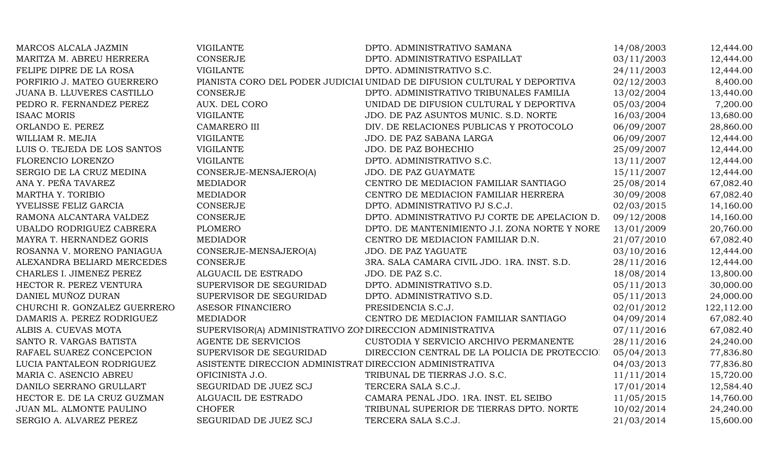| MARCOS ALCALA JAZMIN         | <b>VIGILANTE</b>                                          | DPTO. ADMINISTRATIVO SAMANA                                              | 14/08/2003 | 12,444.00  |
|------------------------------|-----------------------------------------------------------|--------------------------------------------------------------------------|------------|------------|
| MARITZA M. ABREU HERRERA     | <b>CONSERJE</b>                                           | DPTO. ADMINISTRATIVO ESPAILLAT                                           | 03/11/2003 | 12,444.00  |
| FELIPE DIPRE DE LA ROSA      | <b>VIGILANTE</b>                                          | DPTO. ADMINISTRATIVO S.C.                                                | 24/11/2003 | 12,444.00  |
| PORFIRIO J. MATEO GUERRERO   |                                                           | PIANISTA CORO DEL PODER JUDICIAI UNIDAD DE DIFUSION CULTURAL Y DEPORTIVA | 02/12/2003 | 8,400.00   |
| JUANA B. LLUVERES CASTILLO   | <b>CONSERJE</b>                                           | DPTO. ADMINISTRATIVO TRIBUNALES FAMILIA                                  | 13/02/2004 | 13,440.00  |
| PEDRO R. FERNANDEZ PEREZ     | AUX. DEL CORO                                             | UNIDAD DE DIFUSION CULTURAL Y DEPORTIVA                                  | 05/03/2004 | 7,200.00   |
| <b>ISAAC MORIS</b>           | <b>VIGILANTE</b>                                          | JDO. DE PAZ ASUNTOS MUNIC. S.D. NORTE                                    | 16/03/2004 | 13,680.00  |
| ORLANDO E. PEREZ             | CAMARERO III                                              | DIV. DE RELACIONES PUBLICAS Y PROTOCOLO                                  | 06/09/2007 | 28,860.00  |
| WILLIAM R. MEJIA             | <b>VIGILANTE</b>                                          | JDO. DE PAZ SABANA LARGA                                                 | 06/09/2007 | 12,444.00  |
| LUIS O. TEJEDA DE LOS SANTOS | <b>VIGILANTE</b>                                          | JDO. DE PAZ BOHECHIO                                                     | 25/09/2007 | 12,444.00  |
| FLORENCIO LORENZO            | <b>VIGILANTE</b>                                          | DPTO. ADMINISTRATIVO S.C.                                                | 13/11/2007 | 12,444.00  |
| SERGIO DE LA CRUZ MEDINA     | CONSERJE-MENSAJERO(A)                                     | <b>JDO. DE PAZ GUAYMATE</b>                                              | 15/11/2007 | 12,444.00  |
| ANA Y. PEÑA TAVAREZ          | <b>MEDIADOR</b>                                           | CENTRO DE MEDIACION FAMILIAR SANTIAGO                                    | 25/08/2014 | 67,082.40  |
| MARTHA Y. TORIBIO            | <b>MEDIADOR</b>                                           | CENTRO DE MEDIACION FAMILIAR HERRERA                                     | 30/09/2008 | 67,082.40  |
| YVELISSE FELIZ GARCIA        | <b>CONSERJE</b>                                           | DPTO. ADMINISTRATIVO PJ S.C.J.                                           | 02/03/2015 | 14,160.00  |
| RAMONA ALCANTARA VALDEZ      | <b>CONSERJE</b>                                           | DPTO. ADMINISTRATIVO PJ CORTE DE APELACION D.                            | 09/12/2008 | 14,160.00  |
| UBALDO RODRIGUEZ CABRERA     | <b>PLOMERO</b>                                            | DPTO. DE MANTENIMIENTO J.I. ZONA NORTE Y NORE                            | 13/01/2009 | 20,760.00  |
| MAYRA T. HERNANDEZ GORIS     | <b>MEDIADOR</b>                                           | CENTRO DE MEDIACION FAMILIAR D.N.                                        | 21/07/2010 | 67,082.40  |
| ROSANNA V. MORENO PANIAGUA   | CONSERJE-MENSAJERO(A)                                     | JDO. DE PAZ YAGUATE                                                      | 03/10/2016 | 12,444.00  |
| ALEXANDRA BELIARD MERCEDES   | <b>CONSERJE</b>                                           | 3RA. SALA CAMARA CIVIL JDO. 1RA. INST. S.D.                              | 28/11/2016 | 12,444.00  |
| CHARLES I. JIMENEZ PEREZ     | ALGUACIL DE ESTRADO                                       | JDO. DE PAZ S.C.                                                         | 18/08/2014 | 13,800.00  |
| HECTOR R. PEREZ VENTURA      | SUPERVISOR DE SEGURIDAD                                   | DPTO. ADMINISTRATIVO S.D.                                                | 05/11/2013 | 30,000.00  |
| DANIEL MUÑOZ DURAN           | SUPERVISOR DE SEGURIDAD                                   | DPTO. ADMINISTRATIVO S.D.                                                | 05/11/2013 | 24,000.00  |
| CHURCHI R. GONZALEZ GUERRERO | ASESOR FINANCIERO                                         | PRESIDENCIA S.C.J.                                                       | 02/01/2012 | 122,112.00 |
| DAMARIS A. PEREZ RODRIGUEZ   | <b>MEDIADOR</b>                                           | CENTRO DE MEDIACION FAMILIAR SANTIAGO                                    | 04/09/2014 | 67,082.40  |
| ALBIS A. CUEVAS MOTA         | SUPERVISOR(A) ADMINISTRATIVO ZOI DIRECCION ADMINISTRATIVA |                                                                          | 07/11/2016 | 67,082.40  |
| SANTO R. VARGAS BATISTA      | <b>AGENTE DE SERVICIOS</b>                                | CUSTODIA Y SERVICIO ARCHIVO PERMANENTE                                   | 28/11/2016 | 24,240.00  |
| RAFAEL SUAREZ CONCEPCION     | SUPERVISOR DE SEGURIDAD                                   | DIRECCION CENTRAL DE LA POLICIA DE PROTECCIOI                            | 05/04/2013 | 77,836.80  |
| LUCIA PANTALEON RODRIGUEZ    | ASISTENTE DIRECCION ADMINISTRAT DIRECCION ADMINISTRATIVA  |                                                                          | 04/03/2013 | 77,836.80  |
| MARIA C. ASENCIO ABREU       | OFICINISTA J.O.                                           | TRIBUNAL DE TIERRAS J.O. S.C.                                            | 11/11/2014 | 15,720.00  |
| DANILO SERRANO GRULLART      | SEGURIDAD DE JUEZ SCJ                                     | TERCERA SALA S.C.J.                                                      | 17/01/2014 | 12,584.40  |
| HECTOR E. DE LA CRUZ GUZMAN  | ALGUACIL DE ESTRADO                                       | CAMARA PENAL JDO. 1RA. INST. EL SEIBO                                    | 11/05/2015 | 14,760.00  |
| JUAN ML. ALMONTE PAULINO     | <b>CHOFER</b>                                             | TRIBUNAL SUPERIOR DE TIERRAS DPTO. NORTE                                 | 10/02/2014 | 24,240.00  |
| SERGIO A. ALVAREZ PEREZ      | SEGURIDAD DE JUEZ SCJ                                     | TERCERA SALA S.C.J.                                                      | 21/03/2014 | 15,600.00  |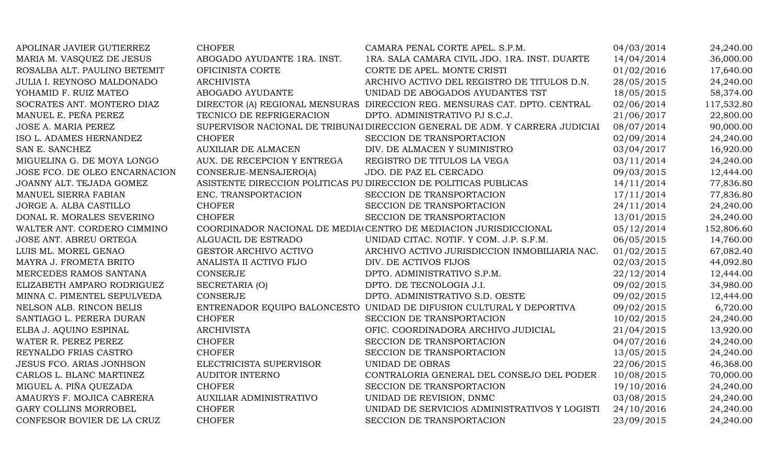| APOLINAR JAVIER GUTIERREZ       | <b>CHOFER</b>                                                    | CAMARA PENAL CORTE APEL. S.P.M.                                              | 04/03/2014 | 24,240.00  |
|---------------------------------|------------------------------------------------------------------|------------------------------------------------------------------------------|------------|------------|
| MARIA M. VASQUEZ DE JESUS       | ABOGADO AYUDANTE 1RA. INST.                                      | 1RA. SALA CAMARA CIVIL JDO. 1RA. INST. DUARTE                                | 14/04/2014 | 36,000.00  |
| ROSALBA ALT. PAULINO BETEMIT    | OFICINISTA CORTE                                                 | CORTE DE APEL. MONTE CRISTI                                                  | 01/02/2016 | 17,640.00  |
| JULIA I. REYNOSO MALDONADO      | <b>ARCHIVISTA</b>                                                | ARCHIVO ACTIVO DEL REGISTRO DE TITULOS D.N.                                  | 28/05/2015 | 24,240.00  |
| YOHAMID F. RUIZ MATEO           | ABOGADO AYUDANTE                                                 | UNIDAD DE ABOGADOS AYUDANTES TST                                             | 18/05/2015 | 58,374.00  |
| SOCRATES ANT. MONTERO DIAZ      |                                                                  | DIRECTOR (A) REGIONAL MENSURAS DIRECCION REG. MENSURAS CAT. DPTO. CENTRAL    | 02/06/2014 | 117,532.80 |
| MANUEL E. PEÑA PEREZ            | TECNICO DE REFRIGERACION                                         | DPTO. ADMINISTRATIVO PJ S.C.J.                                               | 21/06/2017 | 22,800.00  |
| JOSE A. MARIA PEREZ             |                                                                  | SUPERVISOR NACIONAL DE TRIBUNAI DIRECCION GENERAL DE ADM. Y CARRERA JUDICIAI | 08/07/2014 | 90,000.00  |
| ISO L. ADAMES HERNANDEZ         | <b>CHOFER</b>                                                    | SECCION DE TRANSPORTACION                                                    | 02/09/2014 | 24,240.00  |
| SAN E. SANCHEZ                  | <b>AUXILIAR DE ALMACEN</b>                                       | DIV. DE ALMACEN Y SUMINISTRO                                                 | 03/04/2017 | 16,920.00  |
| MIGUELINA G. DE MOYA LONGO      | AUX. DE RECEPCION Y ENTREGA                                      | REGISTRO DE TITULOS LA VEGA                                                  | 03/11/2014 | 24,240.00  |
| JOSE FCO. DE OLEO ENCARNACION   | CONSERJE-MENSAJERO(A)                                            | JDO. DE PAZ EL CERCADO                                                       | 09/03/2015 | 12,444.00  |
| JOANNY ALT. TEJADA GOMEZ        | ASISTENTE DIRECCION POLITICAS PU DIRECCION DE POLITICAS PUBLICAS |                                                                              | 14/11/2014 | 77,836.80  |
| MANUEL SIERRA FABIAN            | ENC. TRANSPORTACION                                              | SECCION DE TRANSPORTACION                                                    | 17/11/2014 | 77,836.80  |
| JORGE A. ALBA CASTILLO          | <b>CHOFER</b>                                                    | SECCION DE TRANSPORTACION                                                    | 24/11/2014 | 24,240.00  |
| DONAL R. MORALES SEVERINO       | <b>CHOFER</b>                                                    | SECCION DE TRANSPORTACION                                                    | 13/01/2015 | 24,240.00  |
| WALTER ANT. CORDERO CIMMINO     |                                                                  | COORDINADOR NACIONAL DE MEDIA CENTRO DE MEDIACION JURISDICCIONAL             | 05/12/2014 | 152,806.60 |
| JOSE ANT. ABREU ORTEGA          | ALGUACIL DE ESTRADO                                              | UNIDAD CITAC. NOTIF. Y COM. J.P. S.F.M.                                      | 06/05/2015 | 14,760.00  |
| LUIS ML. MOREL GENAO            | <b>GESTOR ARCHIVO ACTIVO</b>                                     | ARCHIVO ACTIVO JURISDICCION INMOBILIARIA NAC.                                | 01/02/2015 | 67,082.40  |
| MAYRA J. FROMETA BRITO          | ANALISTA II ACTIVO FIJO                                          | DIV. DE ACTIVOS FIJOS                                                        | 02/03/2015 | 44,092.80  |
| MERCEDES RAMOS SANTANA          | <b>CONSERJE</b>                                                  | DPTO. ADMINISTRATIVO S.P.M.                                                  | 22/12/2014 | 12,444.00  |
| ELIZABETH AMPARO RODRIGUEZ      | SECRETARIA (O)                                                   | DPTO. DE TECNOLOGIA J.I.                                                     | 09/02/2015 | 34,980.00  |
| MINNA C. PIMENTEL SEPULVEDA     | CONSERJE                                                         | DPTO. ADMINISTRATIVO S.D. OESTE                                              | 09/02/2015 | 12,444.00  |
| NELSON ALB. RINCON BELIS        |                                                                  | ENTRENADOR EQUIPO BALONCESTO UNIDAD DE DIFUSION CULTURAL Y DEPORTIVA         | 09/02/2015 | 6,720.00   |
| SANTIAGO L. PERERA DURAN        | <b>CHOFER</b>                                                    | SECCION DE TRANSPORTACION                                                    | 10/02/2015 | 24,240.00  |
| ELBA J. AQUINO ESPINAL          | <b>ARCHIVISTA</b>                                                | OFIC. COORDINADORA ARCHIVO JUDICIAL                                          | 21/04/2015 | 13,920.00  |
| WATER R. PEREZ PEREZ            | <b>CHOFER</b>                                                    | SECCION DE TRANSPORTACION                                                    | 04/07/2016 | 24,240.00  |
| REYNALDO FRIAS CASTRO           | <b>CHOFER</b>                                                    | SECCION DE TRANSPORTACION                                                    | 13/05/2015 | 24,240.00  |
| <b>JESUS FCO. ARIAS JONHSON</b> | ELECTRICISTA SUPERVISOR                                          | UNIDAD DE OBRAS                                                              | 22/06/2015 | 46,368.00  |
| CARLOS L. BLANC MARTINEZ        | <b>AUDITOR INTERNO</b>                                           | CONTRALORIA GENERAL DEL CONSEJO DEL PODER                                    | 10/08/2015 | 70,000.00  |
| MIGUEL A. PIÑA QUEZADA          | <b>CHOFER</b>                                                    | SECCION DE TRANSPORTACION                                                    | 19/10/2016 | 24,240.00  |
| AMAURYS F. MOJICA CABRERA       | AUXILIAR ADMINISTRATIVO                                          | UNIDAD DE REVISION, DNMC                                                     | 03/08/2015 | 24,240.00  |
| GARY COLLINS MORROBEL           | <b>CHOFER</b>                                                    | UNIDAD DE SERVICIOS ADMINISTRATIVOS Y LOGISTI                                | 24/10/2016 | 24,240.00  |
| CONFESOR BOVIER DE LA CRUZ      | <b>CHOFER</b>                                                    | SECCION DE TRANSPORTACION                                                    | 23/09/2015 | 24,240.00  |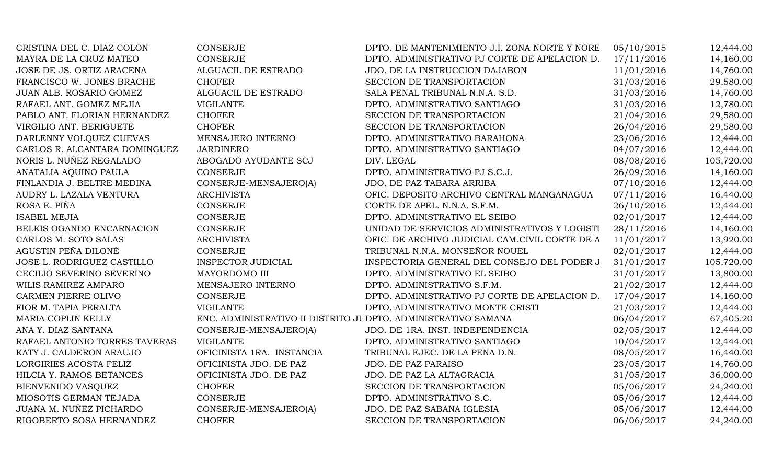| CRISTINA DEL C. DIAZ COLON    | <b>CONSERJE</b>                                                | DPTO. DE MANTENIMIENTO J.I. ZONA NORTE Y NORE  | 05/10/2015 | 12,444.00  |
|-------------------------------|----------------------------------------------------------------|------------------------------------------------|------------|------------|
| MAYRA DE LA CRUZ MATEO        | <b>CONSERJE</b>                                                | DPTO. ADMINISTRATIVO PJ CORTE DE APELACION D.  | 17/11/2016 | 14,160.00  |
| JOSE DE JS. ORTIZ ARACENA     | ALGUACIL DE ESTRADO                                            | JDO. DE LA INSTRUCCION DAJABON                 | 11/01/2016 | 14,760.00  |
| FRANCISCO W. JONES BRACHE     | <b>CHOFER</b>                                                  | SECCION DE TRANSPORTACION                      | 31/03/2016 | 29,580.00  |
| JUAN ALB. ROSARIO GOMEZ       | ALGUACIL DE ESTRADO                                            | SALA PENAL TRIBUNAL N.N.A. S.D.                | 31/03/2016 | 14,760.00  |
| RAFAEL ANT. GOMEZ MEJIA       | <b>VIGILANTE</b>                                               | DPTO. ADMINISTRATIVO SANTIAGO                  | 31/03/2016 | 12,780.00  |
| PABLO ANT. FLORIAN HERNANDEZ  | <b>CHOFER</b>                                                  | SECCION DE TRANSPORTACION                      | 21/04/2016 | 29,580.00  |
| VIRGILIO ANT. BERIGUETE       | <b>CHOFER</b>                                                  | SECCION DE TRANSPORTACION                      | 26/04/2016 | 29,580.00  |
| DARLENNY VOLQUEZ CUEVAS       | MENSAJERO INTERNO                                              | DPTO. ADMINISTRATIVO BARAHONA                  | 23/06/2016 | 12,444.00  |
| CARLOS R. ALCANTARA DOMINGUEZ | <b>JARDINERO</b>                                               | DPTO. ADMINISTRATIVO SANTIAGO                  | 04/07/2016 | 12,444.00  |
| NORIS L. NUÑEZ REGALADO       | ABOGADO AYUDANTE SCJ                                           | DIV. LEGAL                                     | 08/08/2016 | 105,720.00 |
| ANATALIA AQUINO PAULA         | <b>CONSERJE</b>                                                | DPTO. ADMINISTRATIVO PJ S.C.J.                 | 26/09/2016 | 14,160.00  |
| FINLANDIA J. BELTRE MEDINA    | CONSERJE-MENSAJERO(A)                                          | JDO. DE PAZ TABARA ARRIBA                      | 07/10/2016 | 12,444.00  |
| AUDRY L. LAZALA VENTURA       | <b>ARCHIVISTA</b>                                              | OFIC. DEPOSITO ARCHIVO CENTRAL MANGANAGUA      | 07/11/2016 | 16,440.00  |
| ROSA E. PIÑA                  | <b>CONSERJE</b>                                                | CORTE DE APEL. N.N.A. S.F.M.                   | 26/10/2016 | 12,444.00  |
| <b>ISABEL MEJIA</b>           | <b>CONSERJE</b>                                                | DPTO. ADMINISTRATIVO EL SEIBO                  | 02/01/2017 | 12,444.00  |
| BELKIS OGANDO ENCARNACION     | <b>CONSERJE</b>                                                | UNIDAD DE SERVICIOS ADMINISTRATIVOS Y LOGISTI  | 28/11/2016 | 14,160.00  |
| CARLOS M. SOTO SALAS          | <b>ARCHIVISTA</b>                                              | OFIC. DE ARCHIVO JUDICIAL CAM.CIVIL CORTE DE A | 11/01/2017 | 13,920.00  |
| AGUSTIN PEÑA DILONÉ           | <b>CONSERJE</b>                                                | TRIBUNAL N.N.A. MONSEÑOR NOUEL                 | 02/01/2017 | 12,444.00  |
| JOSE L. RODRIGUEZ CASTILLO    | INSPECTOR JUDICIAL                                             | INSPECTORIA GENERAL DEL CONSEJO DEL PODER J    | 31/01/2017 | 105,720.00 |
| CECILIO SEVERINO SEVERINO     | MAYORDOMO III                                                  | DPTO. ADMINISTRATIVO EL SEIBO                  | 31/01/2017 | 13,800.00  |
| WILIS RAMIREZ AMPARO          | MENSAJERO INTERNO                                              | DPTO. ADMINISTRATIVO S.F.M.                    | 21/02/2017 | 12,444.00  |
| CARMEN PIERRE OLIVO           | <b>CONSERJE</b>                                                | DPTO. ADMINISTRATIVO PJ CORTE DE APELACION D.  | 17/04/2017 | 14,160.00  |
| FIOR M. TAPIA PERALTA         | <b>VIGILANTE</b>                                               | DPTO. ADMINISTRATIVO MONTE CRISTI              | 21/03/2017 | 12,444.00  |
| MARIA COPLIN KELLY            | ENC. ADMINISTRATIVO II DISTRITO JU DPTO. ADMINISTRATIVO SAMANA |                                                | 06/04/2017 | 67,405.20  |
| ANA Y. DIAZ SANTANA           | CONSERJE-MENSAJERO(A)                                          | JDO. DE 1RA. INST. INDEPENDENCIA               | 02/05/2017 | 12,444.00  |
| RAFAEL ANTONIO TORRES TAVERAS | <b>VIGILANTE</b>                                               | DPTO. ADMINISTRATIVO SANTIAGO                  | 10/04/2017 | 12,444.00  |
| KATY J. CALDERON ARAUJO       | OFICINISTA 1RA. INSTANCIA                                      | TRIBUNAL EJEC. DE LA PENA D.N.                 | 08/05/2017 | 16,440.00  |
| LORGIRIES ACOSTA FELIZ        | OFICINISTA JDO. DE PAZ                                         | JDO. DE PAZ PARAISO                            | 23/05/2017 | 14,760.00  |
| HILCIA Y. RAMOS BETANCES      | OFICINISTA JDO. DE PAZ                                         | JDO. DE PAZ LA ALTAGRACIA                      | 31/05/2017 | 36,000.00  |
| <b>BIENVENIDO VASQUEZ</b>     | <b>CHOFER</b>                                                  | SECCION DE TRANSPORTACION                      | 05/06/2017 | 24,240.00  |
| MIOSOTIS GERMAN TEJADA        | <b>CONSERJE</b>                                                | DPTO. ADMINISTRATIVO S.C.                      | 05/06/2017 | 12,444.00  |
| JUANA M. NUÑEZ PICHARDO       | CONSERJE-MENSAJERO(A)                                          | JDO. DE PAZ SABANA IGLESIA                     | 05/06/2017 | 12,444.00  |
| RIGOBERTO SOSA HERNANDEZ      | <b>CHOFER</b>                                                  | SECCION DE TRANSPORTACION                      | 06/06/2017 | 24,240.00  |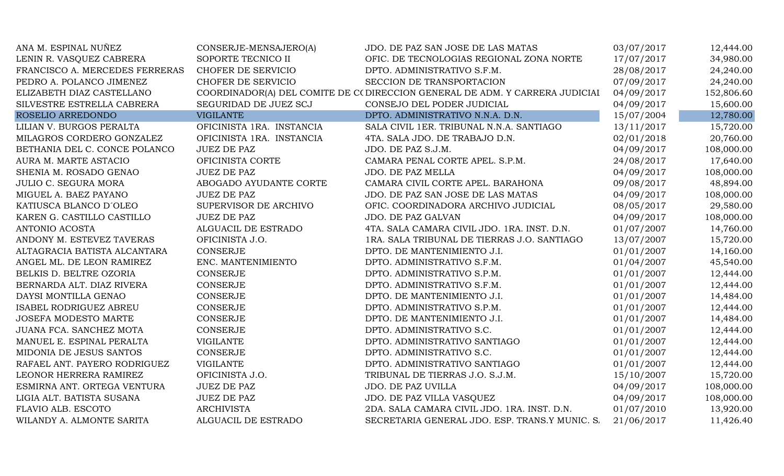| ANA M. ESPINAL NUÑEZ           | CONSERJE-MENSAJERO(A)     | JDO. DE PAZ SAN JOSE DE LAS MATAS                                           | 03/07/2017 | 12,444.00  |
|--------------------------------|---------------------------|-----------------------------------------------------------------------------|------------|------------|
| LENIN R. VASQUEZ CABRERA       | SOPORTE TECNICO II        | OFIC. DE TECNOLOGIAS REGIONAL ZONA NORTE                                    | 17/07/2017 | 34,980.00  |
| FRANCISCO A. MERCEDES FERRERAS | CHOFER DE SERVICIO        | DPTO. ADMINISTRATIVO S.F.M.                                                 | 28/08/2017 | 24,240.00  |
| PEDRO A. POLANCO JIMENEZ       | CHOFER DE SERVICIO        | SECCION DE TRANSPORTACION                                                   | 07/09/2017 | 24,240.00  |
| ELIZABETH DIAZ CASTELLANO      |                           | COORDINADOR(A) DEL COMITE DE C(DIRECCION GENERAL DE ADM. Y CARRERA JUDICIAI | 04/09/2017 | 152,806.60 |
| SILVESTRE ESTRELLA CABRERA     | SEGURIDAD DE JUEZ SCJ     | CONSEJO DEL PODER JUDICIAL                                                  | 04/09/2017 | 15,600.00  |
| ROSELIO ARREDONDO              | <b>VIGILANTE</b>          | DPTO. ADMINISTRATIVO N.N.A. D.N.                                            | 15/07/2004 | 12,780.00  |
| LILIAN V. BURGOS PERALTA       | OFICINISTA 1RA. INSTANCIA | SALA CIVIL 1ER. TRIBUNAL N.N.A. SANTIAGO                                    | 13/11/2017 | 15,720.00  |
| MILAGROS CORDERO GONZALEZ      | OFICINISTA 1RA. INSTANCIA | 4TA. SALA JDO. DE TRABAJO D.N.                                              | 02/01/2018 | 20,760.00  |
| BETHANIA DEL C. CONCE POLANCO  | <b>JUEZ DE PAZ</b>        | JDO. DE PAZ S.J.M.                                                          | 04/09/2017 | 108,000.00 |
| AURA M. MARTE ASTACIO          | OFICINISTA CORTE          | CAMARA PENAL CORTE APEL. S.P.M.                                             | 24/08/2017 | 17,640.00  |
| SHENIA M. ROSADO GENAO         | <b>JUEZ DE PAZ</b>        | JDO. DE PAZ MELLA                                                           | 04/09/2017 | 108,000.00 |
| <b>JULIO C. SEGURA MORA</b>    | ABOGADO AYUDANTE CORTE    | CAMARA CIVIL CORTE APEL. BARAHONA                                           | 09/08/2017 | 48,894.00  |
| MIGUEL A. BAEZ PAYANO          | <b>JUEZ DE PAZ</b>        | JDO. DE PAZ SAN JOSE DE LAS MATAS                                           | 04/09/2017 | 108,000.00 |
| KATIUSCA BLANCO D'OLEO         | SUPERVISOR DE ARCHIVO     | OFIC. COORDINADORA ARCHIVO JUDICIAL                                         | 08/05/2017 | 29,580.00  |
| KAREN G. CASTILLO CASTILLO     | <b>JUEZ DE PAZ</b>        | JDO. DE PAZ GALVAN                                                          | 04/09/2017 | 108,000.00 |
| ANTONIO ACOSTA                 | ALGUACIL DE ESTRADO       | 4TA. SALA CAMARA CIVIL JDO. 1RA. INST. D.N.                                 | 01/07/2007 | 14,760.00  |
| ANDONY M. ESTEVEZ TAVERAS      | OFICINISTA J.O.           | 1RA. SALA TRIBUNAL DE TIERRAS J.O. SANTIAGO                                 | 13/07/2007 | 15,720.00  |
| ALTAGRACIA BATISTA ALCANTARA   | <b>CONSERJE</b>           | DPTO. DE MANTENIMIENTO J.I.                                                 | 01/01/2007 | 14,160.00  |
| ANGEL ML. DE LEON RAMIREZ      | ENC. MANTENIMIENTO        | DPTO. ADMINISTRATIVO S.F.M.                                                 | 01/04/2007 | 45,540.00  |
| BELKIS D. BELTRE OZORIA        | <b>CONSERJE</b>           | DPTO. ADMINISTRATIVO S.P.M.                                                 | 01/01/2007 | 12,444.00  |
| BERNARDA ALT. DIAZ RIVERA      | CONSERJE                  | DPTO. ADMINISTRATIVO S.F.M.                                                 | 01/01/2007 | 12,444.00  |
| DAYSI MONTILLA GENAO           | CONSERJE                  | DPTO. DE MANTENIMIENTO J.I.                                                 | 01/01/2007 | 14,484.00  |
| ISABEL RODRIGUEZ ABREU         | CONSERJE                  | DPTO. ADMINISTRATIVO S.P.M.                                                 | 01/01/2007 | 12,444.00  |
| JOSEFA MODESTO MARTE           | <b>CONSERJE</b>           | DPTO. DE MANTENIMIENTO J.I.                                                 | 01/01/2007 | 14,484.00  |
| JUANA FCA. SANCHEZ MOTA        | <b>CONSERJE</b>           | DPTO. ADMINISTRATIVO S.C.                                                   | 01/01/2007 | 12,444.00  |
| MANUEL E. ESPINAL PERALTA      | <b>VIGILANTE</b>          | DPTO. ADMINISTRATIVO SANTIAGO                                               | 01/01/2007 | 12,444.00  |
| MIDONIA DE JESUS SANTOS        | <b>CONSERJE</b>           | DPTO. ADMINISTRATIVO S.C.                                                   | 01/01/2007 | 12,444.00  |
| RAFAEL ANT. PAYERO RODRIGUEZ   | <b>VIGILANTE</b>          | DPTO. ADMINISTRATIVO SANTIAGO                                               | 01/01/2007 | 12,444.00  |
| LEONOR HERRERA RAMIREZ         | OFICINISTA J.O.           | TRIBUNAL DE TIERRAS J.O. S.J.M.                                             | 15/10/2007 | 15,720.00  |
| ESMIRNA ANT. ORTEGA VENTURA    | <b>JUEZ DE PAZ</b>        | <b>JDO. DE PAZ UVILLA</b>                                                   | 04/09/2017 | 108,000.00 |
| LIGIA ALT. BATISTA SUSANA      | <b>JUEZ DE PAZ</b>        | JDO. DE PAZ VILLA VASQUEZ                                                   | 04/09/2017 | 108,000.00 |
| FLAVIO ALB. ESCOTO             | <b>ARCHIVISTA</b>         | 2DA. SALA CAMARA CIVIL JDO. 1RA. INST. D.N.                                 | 01/07/2010 | 13,920.00  |
| WILANDY A. ALMONTE SARITA      | ALGUACIL DE ESTRADO       | SECRETARIA GENERAL JDO. ESP. TRANS.Y MUNIC. S.                              | 21/06/2017 | 11,426.40  |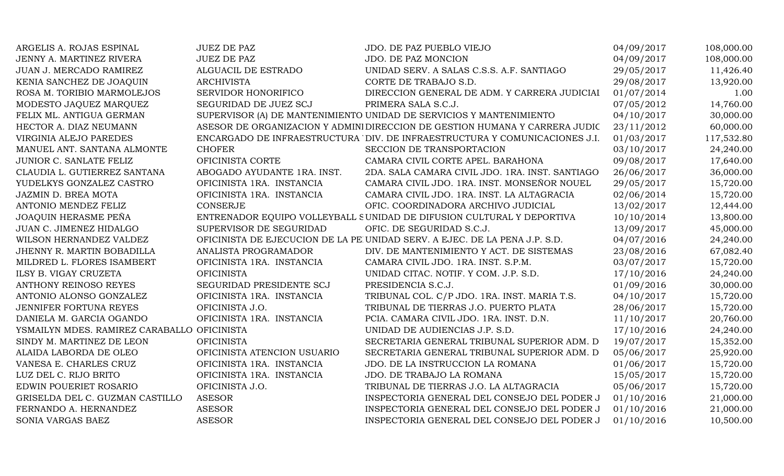| ARGELIS A. ROJAS ESPINAL                    | <b>JUEZ DE PAZ</b>          | JDO. DE PAZ PUEBLO VIEJO                                                    | 04/09/2017 | 108,000.00 |
|---------------------------------------------|-----------------------------|-----------------------------------------------------------------------------|------------|------------|
| JENNY A. MARTINEZ RIVERA                    | <b>JUEZ DE PAZ</b>          | JDO. DE PAZ MONCION                                                         | 04/09/2017 | 108,000.00 |
| JUAN J. MERCADO RAMIREZ                     | ALGUACIL DE ESTRADO         | UNIDAD SERV. A SALAS C.S.S. A.F. SANTIAGO                                   | 29/05/2017 | 11,426.40  |
| KENIA SANCHEZ DE JOAQUIN                    | <b>ARCHIVISTA</b>           | CORTE DE TRABAJO S.D.                                                       | 29/08/2017 | 13,920.00  |
| ROSA M. TORIBIO MARMOLEJOS                  | <b>SERVIDOR HONORIFICO</b>  | DIRECCION GENERAL DE ADM. Y CARRERA JUDICIAI                                | 01/07/2014 | 1.00       |
| MODESTO JAQUEZ MARQUEZ                      | SEGURIDAD DE JUEZ SCJ       | PRIMERA SALA S.C.J.                                                         | 07/05/2012 | 14,760.00  |
| FELIX ML. ANTIGUA GERMAN                    |                             | SUPERVISOR (A) DE MANTENIMIENTO UNIDAD DE SERVICIOS Y MANTENIMIENTO         | 04/10/2017 | 30,000.00  |
| HECTOR A. DIAZ NEUMANN                      |                             | ASESOR DE ORGANIZACION Y ADMINI DIRECCION DE GESTION HUMANA Y CARRERA JUDIC | 23/11/2012 | 60,000.00  |
| VIRGINIA ALEJO PAREDES                      |                             | ENCARGADO DE INFRAESTRUCTURA DIV. DE INFRAESTRUCTURA Y COMUNICACIONES J.I.  | 01/03/2017 | 117,532.80 |
| MANUEL ANT. SANTANA ALMONTE                 | <b>CHOFER</b>               | SECCION DE TRANSPORTACION                                                   | 03/10/2017 | 24,240.00  |
| JUNIOR C. SANLATE FELIZ                     | OFICINISTA CORTE            | CAMARA CIVIL CORTE APEL. BARAHONA                                           | 09/08/2017 | 17,640.00  |
| CLAUDIA L. GUTIERREZ SANTANA                | ABOGADO AYUDANTE 1RA. INST. | 2DA. SALA CAMARA CIVIL JDO. 1RA. INST. SANTIAGO                             | 26/06/2017 | 36,000.00  |
| YUDELKYS GONZALEZ CASTRO                    | OFICINISTA 1RA. INSTANCIA   | CAMARA CIVIL JDO. 1RA. INST. MONSEÑOR NOUEL                                 | 29/05/2017 | 15,720.00  |
| JAZMIN D. BREA MOTA                         | OFICINISTA 1RA. INSTANCIA   | CAMARA CIVIL JDO. 1RA. INST. LA ALTAGRACIA                                  | 02/06/2014 | 15,720.00  |
| ANTONIO MENDEZ FELIZ                        | <b>CONSERJE</b>             | OFIC. COORDINADORA ARCHIVO JUDICIAL                                         | 13/02/2017 | 12,444.00  |
| <b>JOAQUIN HERASME PEÑA</b>                 |                             | ENTRENADOR EQUIPO VOLLEYBALL SUNIDAD DE DIFUSION CULTURAL Y DEPORTIVA       | 10/10/2014 | 13,800.00  |
| JUAN C. JIMENEZ HIDALGO                     | SUPERVISOR DE SEGURIDAD     | OFIC. DE SEGURIDAD S.C.J.                                                   | 13/09/2017 | 45,000.00  |
| WILSON HERNANDEZ VALDEZ                     |                             | OFICINISTA DE EJECUCION DE LA PE UNIDAD SERV. A EJEC. DE LA PENA J.P. S.D.  | 04/07/2016 | 24,240.00  |
| JHENNY R. MARTIN BOBADILLA                  | ANALISTA PROGRAMADOR        | DIV. DE MANTENIMIENTO Y ACT. DE SISTEMAS                                    | 23/08/2016 | 67,082.40  |
| MILDRED L. FLORES ISAMBERT                  | OFICINISTA 1RA. INSTANCIA   | CAMARA CIVIL JDO. 1RA. INST. S.P.M.                                         | 03/07/2017 | 15,720.00  |
| ILSY B. VIGAY CRUZETA                       | <b>OFICINISTA</b>           | UNIDAD CITAC. NOTIF. Y COM. J.P. S.D.                                       | 17/10/2016 | 24,240.00  |
| <b>ANTHONY REINOSO REYES</b>                | SEGURIDAD PRESIDENTE SCJ    | PRESIDENCIA S.C.J.                                                          | 01/09/2016 | 30,000.00  |
| ANTONIO ALONSO GONZALEZ                     | OFICINISTA 1RA. INSTANCIA   | TRIBUNAL COL. C/P JDO. 1RA. INST. MARIA T.S.                                | 04/10/2017 | 15,720.00  |
| JENNIFER FORTUNA REYES                      | OFICINISTA J.O.             | TRIBUNAL DE TIERRAS J.O. PUERTO PLATA                                       | 28/06/2017 | 15,720.00  |
| DANIELA M. GARCIA OGANDO                    | OFICINISTA 1RA. INSTANCIA   | PCIA. CAMARA CIVIL JDO. 1RA. INST. D.N.                                     | 11/10/2017 | 20,760.00  |
| YSMAILYN MDES. RAMIREZ CARABALLO OFICINISTA |                             | UNIDAD DE AUDIENCIAS J.P. S.D.                                              | 17/10/2016 | 24,240.00  |
| SINDY M. MARTINEZ DE LEON                   | <b>OFICINISTA</b>           | SECRETARIA GENERAL TRIBUNAL SUPERIOR ADM. D                                 | 19/07/2017 | 15,352.00  |
| ALAIDA LABORDA DE OLEO                      | OFICINISTA ATENCION USUARIO | SECRETARIA GENERAL TRIBUNAL SUPERIOR ADM. D                                 | 05/06/2017 | 25,920.00  |
| VANESA E. CHARLES CRUZ                      | OFICINISTA 1RA. INSTANCIA   | JDO. DE LA INSTRUCCION LA ROMANA                                            | 01/06/2017 | 15,720.00  |
| LUZ DEL C. RIJO BRITO                       | OFICINISTA 1RA. INSTANCIA   | JDO. DE TRABAJO LA ROMANA                                                   | 15/05/2017 | 15,720.00  |
| EDWIN POUERIET ROSARIO                      | OFICINISTA J.O.             | TRIBUNAL DE TIERRAS J.O. LA ALTAGRACIA                                      | 05/06/2017 | 15,720.00  |
| GRISELDA DEL C. GUZMAN CASTILLO             | <b>ASESOR</b>               | INSPECTORIA GENERAL DEL CONSEJO DEL PODER J                                 | 01/10/2016 | 21,000.00  |
| FERNANDO A. HERNANDEZ                       | <b>ASESOR</b>               | INSPECTORIA GENERAL DEL CONSEJO DEL PODER J                                 | 01/10/2016 | 21,000.00  |
| SONIA VARGAS BAEZ                           | <b>ASESOR</b>               | INSPECTORIA GENERAL DEL CONSEJO DEL PODER J                                 | 01/10/2016 | 10,500.00  |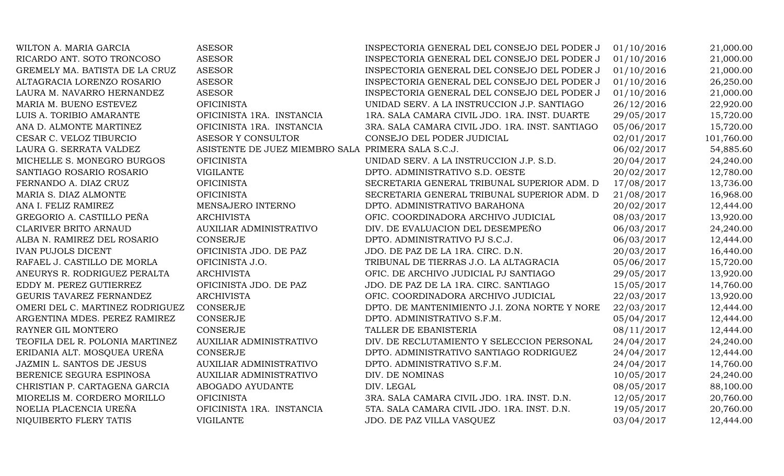| WILTON A. MARIA GARCIA          | <b>ASESOR</b>                                      | INSPECTORIA GENERAL DEL CONSEJO DEL PODER J     | 01/10/2016 | 21,000.00  |
|---------------------------------|----------------------------------------------------|-------------------------------------------------|------------|------------|
| RICARDO ANT. SOTO TRONCOSO      | <b>ASESOR</b>                                      | INSPECTORIA GENERAL DEL CONSEJO DEL PODER J     | 01/10/2016 | 21,000.00  |
| GREMELY MA. BATISTA DE LA CRUZ  | <b>ASESOR</b>                                      | INSPECTORIA GENERAL DEL CONSEJO DEL PODER J     | 01/10/2016 | 21,000.00  |
| ALTAGRACIA LORENZO ROSARIO      | <b>ASESOR</b>                                      | INSPECTORIA GENERAL DEL CONSEJO DEL PODER J     | 01/10/2016 | 26,250.00  |
| LAURA M. NAVARRO HERNANDEZ      | <b>ASESOR</b>                                      | INSPECTORIA GENERAL DEL CONSEJO DEL PODER J     | 01/10/2016 | 21,000.00  |
| MARIA M. BUENO ESTEVEZ          | <b>OFICINISTA</b>                                  | UNIDAD SERV. A LA INSTRUCCION J.P. SANTIAGO     | 26/12/2016 | 22,920.00  |
| LUIS A. TORIBIO AMARANTE        | OFICINISTA 1RA. INSTANCIA                          | 1RA. SALA CAMARA CIVIL JDO. 1RA. INST. DUARTE   | 29/05/2017 | 15,720.00  |
| ANA D. ALMONTE MARTINEZ         | OFICINISTA 1RA. INSTANCIA                          | 3RA. SALA CAMARA CIVIL JDO. 1RA. INST. SANTIAGO | 05/06/2017 | 15,720.00  |
| CESAR C. VELOZ TIBURCIO         | ASESOR Y CONSULTOR                                 | CONSEJO DEL PODER JUDICIAL                      | 02/01/2017 | 101,760.00 |
| LAURA G. SERRATA VALDEZ         | ASISTENTE DE JUEZ MIEMBRO SALA PRIMERA SALA S.C.J. |                                                 | 06/02/2017 | 54,885.60  |
| MICHELLE S. MONEGRO BURGOS      | <b>OFICINISTA</b>                                  | UNIDAD SERV. A LA INSTRUCCION J.P. S.D.         | 20/04/2017 | 24,240.00  |
| SANTIAGO ROSARIO ROSARIO        | <b>VIGILANTE</b>                                   | DPTO. ADMINISTRATIVO S.D. OESTE                 | 20/02/2017 | 12,780.00  |
| FERNANDO A. DIAZ CRUZ           | <b>OFICINISTA</b>                                  | SECRETARIA GENERAL TRIBUNAL SUPERIOR ADM. D     | 17/08/2017 | 13,736.00  |
| MARIA S. DIAZ ALMONTE           | <b>OFICINISTA</b>                                  | SECRETARIA GENERAL TRIBUNAL SUPERIOR ADM. D     | 21/08/2017 | 16,968.00  |
| ANA I. FELIZ RAMIREZ            | MENSAJERO INTERNO                                  | DPTO. ADMINISTRATIVO BARAHONA                   | 20/02/2017 | 12,444.00  |
| GREGORIO A. CASTILLO PEÑA       | <b>ARCHIVISTA</b>                                  | OFIC. COORDINADORA ARCHIVO JUDICIAL             | 08/03/2017 | 13,920.00  |
| <b>CLARIVER BRITO ARNAUD</b>    | AUXILIAR ADMINISTRATIVO                            | DIV. DE EVALUACION DEL DESEMPEÑO                | 06/03/2017 | 24,240.00  |
| ALBA N. RAMIREZ DEL ROSARIO     | <b>CONSERJE</b>                                    | DPTO. ADMINISTRATIVO PJ S.C.J.                  | 06/03/2017 | 12,444.00  |
| <b>IVAN PUJOLS DICENT</b>       | OFICINISTA JDO. DE PAZ                             | JDO. DE PAZ DE LA 1RA. CIRC. D.N.               | 20/03/2017 | 16,440.00  |
| RAFAEL J. CASTILLO DE MORLA     | OFICINISTA J.O.                                    | TRIBUNAL DE TIERRAS J.O. LA ALTAGRACIA          | 05/06/2017 | 15,720.00  |
| ANEURYS R. RODRIGUEZ PERALTA    | <b>ARCHIVISTA</b>                                  | OFIC. DE ARCHIVO JUDICIAL PJ SANTIAGO           | 29/05/2017 | 13,920.00  |
| EDDY M. PEREZ GUTIERREZ         | OFICINISTA JDO. DE PAZ                             | JDO. DE PAZ DE LA 1RA. CIRC. SANTIAGO           | 15/05/2017 | 14,760.00  |
| GEURIS TAVAREZ FERNANDEZ        | <b>ARCHIVISTA</b>                                  | OFIC. COORDINADORA ARCHIVO JUDICIAL             | 22/03/2017 | 13,920.00  |
| OMERI DEL C. MARTINEZ RODRIGUEZ | <b>CONSERJE</b>                                    | DPTO. DE MANTENIMIENTO J.I. ZONA NORTE Y NORE   | 22/03/2017 | 12,444.00  |
| ARGENTINA MDES. PEREZ RAMIREZ   | <b>CONSERJE</b>                                    | DPTO. ADMINISTRATIVO S.F.M.                     | 05/04/2017 | 12,444.00  |
| RAYNER GIL MONTERO              | <b>CONSERJE</b>                                    | TALLER DE EBANISTERIA                           | 08/11/2017 | 12,444.00  |
| TEOFILA DEL R. POLONIA MARTINEZ | <b>AUXILIAR ADMINISTRATIVO</b>                     | DIV. DE RECLUTAMIENTO Y SELECCION PERSONAL      | 24/04/2017 | 24,240.00  |
| ERIDANIA ALT. MOSQUEA UREÑA     | <b>CONSERJE</b>                                    | DPTO. ADMINISTRATIVO SANTIAGO RODRIGUEZ         | 24/04/2017 | 12,444.00  |
| JAZMIN L. SANTOS DE JESUS       | AUXILIAR ADMINISTRATIVO                            | DPTO. ADMINISTRATIVO S.F.M.                     | 24/04/2017 | 14,760.00  |
| BERENICE SEGURA ESPINOSA        | AUXILIAR ADMINISTRATIVO                            | DIV. DE NOMINAS                                 | 10/05/2017 | 24,240.00  |
| CHRISTIAN P. CARTAGENA GARCIA   | ABOGADO AYUDANTE                                   | DIV. LEGAL                                      | 08/05/2017 | 88,100.00  |
| MIORELIS M. CORDERO MORILLO     | <b>OFICINISTA</b>                                  | 3RA. SALA CAMARA CIVIL JDO. 1RA. INST. D.N.     | 12/05/2017 | 20,760.00  |
| NOELIA PLACENCIA UREÑA          | OFICINISTA 1RA. INSTANCIA                          | 5TA. SALA CAMARA CIVIL JDO. 1RA. INST. D.N.     | 19/05/2017 | 20,760.00  |
| NIQUIBERTO FLERY TATIS          | <b>VIGILANTE</b>                                   | JDO. DE PAZ VILLA VASQUEZ                       | 03/04/2017 | 12,444.00  |
|                                 |                                                    |                                                 |            |            |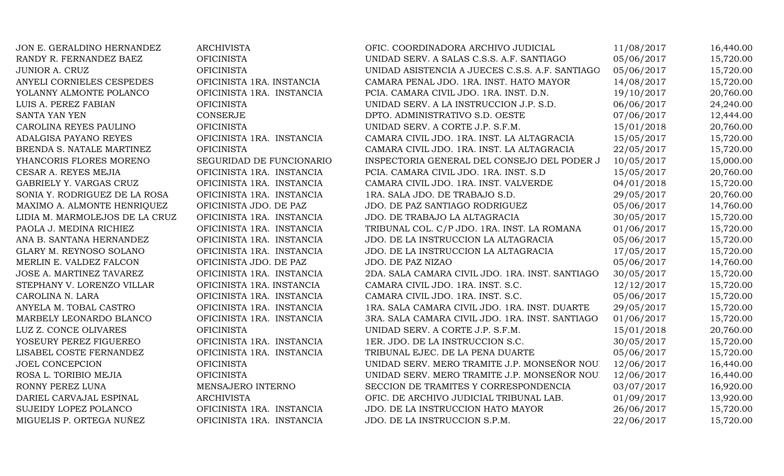| JON E. GERALDINO HERNANDEZ     | <b>ARCHIVISTA</b>         | OFIC. COORDINADORA ARCHIVO JUDICIAL             | 11/08/2017 | 16,440.00 |
|--------------------------------|---------------------------|-------------------------------------------------|------------|-----------|
| RANDY R. FERNANDEZ BAEZ        | <b>OFICINISTA</b>         | UNIDAD SERV. A SALAS C.S.S. A.F. SANTIAGO       | 05/06/2017 | 15,720.00 |
| JUNIOR A. CRUZ                 | <b>OFICINISTA</b>         | UNIDAD ASISTENCIA A JUECES C.S.S. A.F. SANTIAGO | 05/06/2017 | 15,720.00 |
| ANYELI CORNIELES CESPEDES      | OFICINISTA 1RA. INSTANCIA | CAMARA PENAL JDO. 1RA. INST. HATO MAYOR         | 14/08/2017 | 15,720.00 |
| YOLANNY ALMONTE POLANCO        | OFICINISTA 1RA. INSTANCIA | PCIA. CAMARA CIVIL JDO. 1RA. INST. D.N.         | 19/10/2017 | 20,760.00 |
| LUIS A. PEREZ FABIAN           | <b>OFICINISTA</b>         | UNIDAD SERV. A LA INSTRUCCION J.P. S.D.         | 06/06/2017 | 24,240.00 |
| SANTA YAN YEN                  | <b>CONSERJE</b>           | DPTO. ADMINISTRATIVO S.D. OESTE                 | 07/06/2017 | 12,444.00 |
| CAROLINA REYES PAULINO         | <b>OFICINISTA</b>         | UNIDAD SERV. A CORTE J.P. S.F.M.                | 15/01/2018 | 20,760.00 |
| ADALGISA PAYANO REYES          | OFICINISTA 1RA. INSTANCIA | CAMARA CIVIL JDO. 1RA. INST. LA ALTAGRACIA      | 15/05/2017 | 15,720.00 |
| BRENDA S. NATALE MARTINEZ      | <b>OFICINISTA</b>         | CAMARA CIVIL JDO. 1RA. INST. LA ALTAGRACIA      | 22/05/2017 | 15,720.00 |
| YHANCORIS FLORES MORENO        | SEGURIDAD DE FUNCIONARIO  | INSPECTORIA GENERAL DEL CONSEJO DEL PODER J     | 10/05/2017 | 15,000.00 |
| CESAR A. REYES MEJIA           | OFICINISTA 1RA. INSTANCIA | PCIA. CAMARA CIVIL JDO. 1RA. INST. S.D          | 15/05/2017 | 20,760.00 |
| GABRIELY Y. VARGAS CRUZ        | OFICINISTA 1RA. INSTANCIA | CAMARA CIVIL JDO. 1RA. INST. VALVERDE           | 04/01/2018 | 15,720.00 |
| SONIA Y. RODRIGUEZ DE LA ROSA  | OFICINISTA 1RA. INSTANCIA | 1RA. SALA JDO. DE TRABAJO S.D.                  | 29/05/2017 | 20,760.00 |
| MAXIMO A. ALMONTE HENRIQUEZ    | OFICINISTA JDO. DE PAZ    | JDO. DE PAZ SANTIAGO RODRIGUEZ                  | 05/06/2017 | 14,760.00 |
| LIDIA M. MARMOLEJOS DE LA CRUZ | OFICINISTA 1RA. INSTANCIA | JDO. DE TRABAJO LA ALTAGRACIA                   | 30/05/2017 | 15,720.00 |
| PAOLA J. MEDINA RICHIEZ        | OFICINISTA 1RA. INSTANCIA | TRIBUNAL COL. C/P JDO. 1RA. INST. LA ROMANA     | 01/06/2017 | 15,720.00 |
| ANA B. SANTANA HERNANDEZ       | OFICINISTA 1RA. INSTANCIA | JDO. DE LA INSTRUCCION LA ALTAGRACIA            | 05/06/2017 | 15,720.00 |
| GLARY M. REYNOSO SOLANO        | OFICINISTA 1RA. INSTANCIA | JDO. DE LA INSTRUCCION LA ALTAGRACIA            | 17/05/2017 | 15,720.00 |
| MERLIN E. VALDEZ FALCON        | OFICINISTA JDO. DE PAZ    | JDO. DE PAZ NIZAO                               | 05/06/2017 | 14,760.00 |
| JOSE A. MARTINEZ TAVAREZ       | OFICINISTA 1RA. INSTANCIA | 2DA. SALA CAMARA CIVIL JDO. 1RA. INST. SANTIAGO | 30/05/2017 | 15,720.00 |
| STEPHANY V. LORENZO VILLAR     | OFICINISTA 1RA. INSTANCIA | CAMARA CIVIL JDO. 1RA. INST. S.C.               | 12/12/2017 | 15,720.00 |
| CAROLINA N. LARA               | OFICINISTA 1RA. INSTANCIA | CAMARA CIVIL JDO. 1RA. INST. S.C.               | 05/06/2017 | 15,720.00 |
| ANYELA M. TOBAL CASTRO         | OFICINISTA 1RA. INSTANCIA | 1RA. SALA CAMARA CIVIL JDO. 1RA. INST. DUARTE   | 29/05/2017 | 15,720.00 |
| MARBELY LEONARDO BLANCO        | OFICINISTA 1RA. INSTANCIA | 3RA. SALA CAMARA CIVIL JDO. 1RA. INST. SANTIAGO | 01/06/2017 | 15,720.00 |
| LUZ Z. CONCE OLIVARES          | <b>OFICINISTA</b>         | UNIDAD SERV. A CORTE J.P. S.F.M.                | 15/01/2018 | 20,760.00 |
| YOSEURY PEREZ FIGUEREO         | OFICINISTA 1RA. INSTANCIA | 1ER. JDO. DE LA INSTRUCCION S.C.                | 30/05/2017 | 15,720.00 |
| LISABEL COSTE FERNANDEZ        | OFICINISTA 1RA. INSTANCIA | TRIBUNAL EJEC. DE LA PENA DUARTE                | 05/06/2017 | 15,720.00 |
| <b>JOEL CONCEPCION</b>         | <b>OFICINISTA</b>         | UNIDAD SERV. MERO TRAMITE J.P. MONSEÑOR NOU.    | 12/06/2017 | 16,440.00 |
| ROSA L. TORIBIO MEJIA          | <b>OFICINISTA</b>         | UNIDAD SERV. MERO TRAMITE J.P. MONSEÑOR NOU.    | 12/06/2017 | 16,440.00 |
| RONNY PEREZ LUNA               | MENSAJERO INTERNO         | SECCION DE TRAMITES Y CORRESPONDENCIA           | 03/07/2017 | 16,920.00 |
| DARIEL CARVAJAL ESPINAL        | <b>ARCHIVISTA</b>         | OFIC. DE ARCHIVO JUDICIAL TRIBUNAL LAB.         | 01/09/2017 | 13,920.00 |
| <b>SUJEIDY LOPEZ POLANCO</b>   | OFICINISTA 1RA. INSTANCIA | JDO. DE LA INSTRUCCION HATO MAYOR               | 26/06/2017 | 15,720.00 |
| MIGUELIS P. ORTEGA NUÑEZ       | OFICINISTA 1RA. INSTANCIA | JDO. DE LA INSTRUCCION S.P.M.                   | 22/06/2017 | 15,720.00 |
|                                |                           |                                                 |            |           |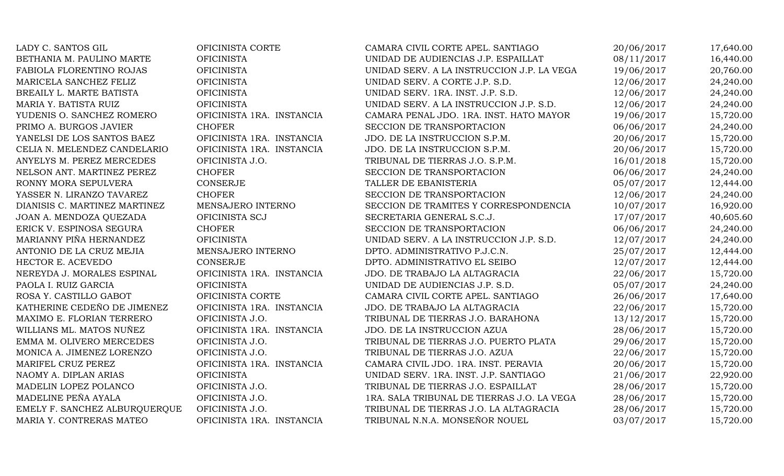| LADY C. SANTOS GIL            | OFICINISTA CORTE          | CAMARA CIVIL CORTE APEL. SANTIAGO          | 20/06/2017 | 17,640.00 |
|-------------------------------|---------------------------|--------------------------------------------|------------|-----------|
| BETHANIA M. PAULINO MARTE     | <b>OFICINISTA</b>         | UNIDAD DE AUDIENCIAS J.P. ESPAILLAT        | 08/11/2017 | 16,440.00 |
| FABIOLA FLORENTINO ROJAS      | <b>OFICINISTA</b>         | UNIDAD SERV. A LA INSTRUCCION J.P. LA VEGA | 19/06/2017 | 20,760.00 |
| MARICELA SANCHEZ FELIZ        | <b>OFICINISTA</b>         | UNIDAD SERV. A CORTE J.P. S.D.             | 12/06/2017 | 24,240.00 |
| BREAILY L. MARTE BATISTA      | <b>OFICINISTA</b>         | UNIDAD SERV. 1RA. INST. J.P. S.D.          | 12/06/2017 | 24,240.00 |
| MARIA Y. BATISTA RUIZ         | <b>OFICINISTA</b>         | UNIDAD SERV. A LA INSTRUCCION J.P. S.D.    | 12/06/2017 | 24,240.00 |
| YUDENIS O. SANCHEZ ROMERO     | OFICINISTA 1RA. INSTANCIA | CAMARA PENAL JDO. 1RA. INST. HATO MAYOR    | 19/06/2017 | 15,720.00 |
| PRIMO A. BURGOS JAVIER        | <b>CHOFER</b>             | SECCION DE TRANSPORTACION                  | 06/06/2017 | 24,240.00 |
| YANELSI DE LOS SANTOS BAEZ    | OFICINISTA 1RA. INSTANCIA | JDO. DE LA INSTRUCCION S.P.M.              | 20/06/2017 | 15,720.00 |
| CELIA N. MELENDEZ CANDELARIO  | OFICINISTA 1RA. INSTANCIA | JDO. DE LA INSTRUCCION S.P.M.              | 20/06/2017 | 15,720.00 |
| ANYELYS M. PEREZ MERCEDES     | OFICINISTA J.O.           | TRIBUNAL DE TIERRAS J.O. S.P.M.            | 16/01/2018 | 15,720.00 |
| NELSON ANT. MARTINEZ PEREZ    | <b>CHOFER</b>             | SECCION DE TRANSPORTACION                  | 06/06/2017 | 24,240.00 |
| RONNY MORA SEPULVERA          | <b>CONSERJE</b>           | TALLER DE EBANISTERIA                      | 05/07/2017 | 12,444.00 |
| YASSER N. LIRANZO TAVAREZ     | <b>CHOFER</b>             | SECCION DE TRANSPORTACION                  | 12/06/2017 | 24,240.00 |
| DIANISIS C. MARTINEZ MARTINEZ | MENSAJERO INTERNO         | SECCION DE TRAMITES Y CORRESPONDENCIA      | 10/07/2017 | 16,920.00 |
| JOAN A. MENDOZA QUEZADA       | OFICINISTA SCJ            | SECRETARIA GENERAL S.C.J.                  | 17/07/2017 | 40,605.60 |
| ERICK V. ESPINOSA SEGURA      | <b>CHOFER</b>             | SECCION DE TRANSPORTACION                  | 06/06/2017 | 24,240.00 |
| MARIANNY PIÑA HERNANDEZ       | <b>OFICINISTA</b>         | UNIDAD SERV. A LA INSTRUCCION J.P. S.D.    | 12/07/2017 | 24,240.00 |
| ANTONIO DE LA CRUZ MEJIA      | MENSAJERO INTERNO         | DPTO. ADMINISTRATIVO P.J.C.N.              | 25/07/2017 | 12,444.00 |
| HECTOR E. ACEVEDO             | <b>CONSERJE</b>           | DPTO. ADMINISTRATIVO EL SEIBO              | 12/07/2017 | 12,444.00 |
| NEREYDA J. MORALES ESPINAL    | OFICINISTA 1RA. INSTANCIA | JDO. DE TRABAJO LA ALTAGRACIA              | 22/06/2017 | 15,720.00 |
| PAOLA I. RUIZ GARCIA          | <b>OFICINISTA</b>         | UNIDAD DE AUDIENCIAS J.P. S.D.             | 05/07/2017 | 24,240.00 |
| ROSA Y. CASTILLO GABOT        | OFICINISTA CORTE          | CAMARA CIVIL CORTE APEL. SANTIAGO          | 26/06/2017 | 17,640.00 |
| KATHERINE CEDEÑO DE JIMENEZ   | OFICINISTA 1RA. INSTANCIA | JDO. DE TRABAJO LA ALTAGRACIA              | 22/06/2017 | 15,720.00 |
| MAXIMO E. FLORIAN TERRERO     | OFICINISTA J.O.           | TRIBUNAL DE TIERRAS J.O. BARAHONA          | 13/12/2017 | 15,720.00 |
| WILLIANS ML. MATOS NUÑEZ      | OFICINISTA 1RA. INSTANCIA | JDO. DE LA INSTRUCCION AZUA                | 28/06/2017 | 15,720.00 |
| EMMA M. OLIVERO MERCEDES      | OFICINISTA J.O.           | TRIBUNAL DE TIERRAS J.O. PUERTO PLATA      | 29/06/2017 | 15,720.00 |
| MONICA A. JIMENEZ LORENZO     | OFICINISTA J.O.           | TRIBUNAL DE TIERRAS J.O. AZUA              | 22/06/2017 | 15,720.00 |
| MARIFEL CRUZ PEREZ            | OFICINISTA 1RA. INSTANCIA | CAMARA CIVIL JDO. 1RA. INST. PERAVIA       | 20/06/2017 | 15,720.00 |
| NAOMY A. DIPLAN ARIAS         | <b>OFICINISTA</b>         | UNIDAD SERV. 1RA. INST. J.P. SANTIAGO      | 21/06/2017 | 22,920.00 |
| MADELIN LOPEZ POLANCO         | OFICINISTA J.O.           | TRIBUNAL DE TIERRAS J.O. ESPAILLAT         | 28/06/2017 | 15,720.00 |
| MADELINE PEÑA AYALA           | OFICINISTA J.O.           | 1RA. SALA TRIBUNAL DE TIERRAS J.O. LA VEGA | 28/06/2017 | 15,720.00 |
| EMELY F. SANCHEZ ALBURQUERQUE | OFICINISTA J.O.           | TRIBUNAL DE TIERRAS J.O. LA ALTAGRACIA     | 28/06/2017 | 15,720.00 |
| MARIA Y. CONTRERAS MATEO      | OFICINISTA 1RA. INSTANCIA | TRIBUNAL N.N.A. MONSEÑOR NOUEL             | 03/07/2017 | 15,720.00 |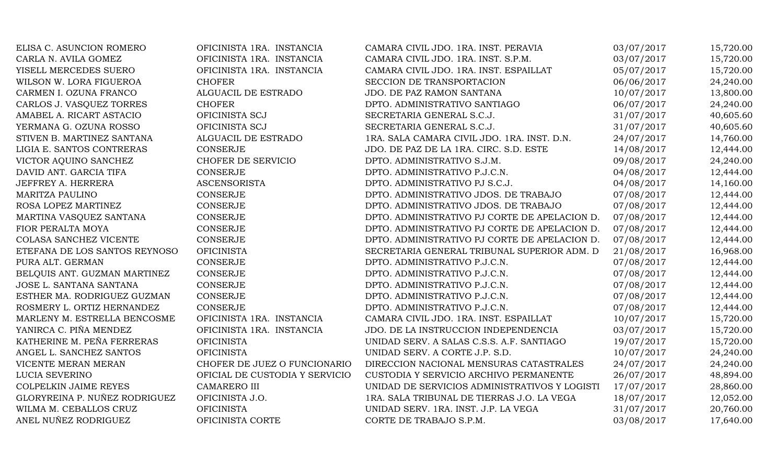| ELISA C. ASUNCION ROMERO      | OFICINISTA 1RA. INSTANCIA      | CAMARA CIVIL JDO. 1RA. INST. PERAVIA          | 03/07/2017 | 15,720.00 |
|-------------------------------|--------------------------------|-----------------------------------------------|------------|-----------|
| CARLA N. AVILA GOMEZ          | OFICINISTA 1RA. INSTANCIA      | CAMARA CIVIL JDO. 1RA. INST. S.P.M.           | 03/07/2017 | 15,720.00 |
| YISELL MERCEDES SUERO         | OFICINISTA 1RA. INSTANCIA      | CAMARA CIVIL JDO. 1RA. INST. ESPAILLAT        | 05/07/2017 | 15,720.00 |
| WILSON W. LORA FIGUEROA       | <b>CHOFER</b>                  | SECCION DE TRANSPORTACION                     | 06/06/2017 | 24,240.00 |
| CARMEN I. OZUNA FRANCO        | ALGUACIL DE ESTRADO            | JDO. DE PAZ RAMON SANTANA                     | 10/07/2017 | 13,800.00 |
| CARLOS J. VASQUEZ TORRES      | <b>CHOFER</b>                  | DPTO. ADMINISTRATIVO SANTIAGO                 | 06/07/2017 | 24,240.00 |
| AMABEL A. RICART ASTACIO      | OFICINISTA SCJ                 | SECRETARIA GENERAL S.C.J.                     | 31/07/2017 | 40,605.60 |
| YERMANA G. OZUNA ROSSO        | OFICINISTA SCJ                 | SECRETARIA GENERAL S.C.J.                     | 31/07/2017 | 40,605.60 |
| STIVEN B. MARTINEZ SANTANA    | ALGUACIL DE ESTRADO            | 1RA. SALA CAMARA CIVIL JDO. 1RA. INST. D.N.   | 24/07/2017 | 14,760.00 |
| LIGIA E. SANTOS CONTRERAS     | <b>CONSERJE</b>                | JDO. DE PAZ DE LA 1RA. CIRC. S.D. ESTE        | 14/08/2017 | 12,444.00 |
| VICTOR AQUINO SANCHEZ         | CHOFER DE SERVICIO             | DPTO. ADMINISTRATIVO S.J.M.                   | 09/08/2017 | 24,240.00 |
| DAVID ANT. GARCIA TIFA        | <b>CONSERJE</b>                | DPTO. ADMINISTRATIVO P.J.C.N.                 | 04/08/2017 | 12,444.00 |
| JEFFREY A. HERRERA            | <b>ASCENSORISTA</b>            | DPTO. ADMINISTRATIVO PJ S.C.J.                | 04/08/2017 | 14,160.00 |
| MARITZA PAULINO               | <b>CONSERJE</b>                | DPTO. ADMINISTRATIVO JDOS. DE TRABAJO         | 07/08/2017 | 12,444.00 |
| ROSA LOPEZ MARTINEZ           | CONSERJE                       | DPTO. ADMINISTRATIVO JDOS. DE TRABAJO         | 07/08/2017 | 12,444.00 |
| MARTINA VASQUEZ SANTANA       | <b>CONSERJE</b>                | DPTO. ADMINISTRATIVO PJ CORTE DE APELACION D. | 07/08/2017 | 12,444.00 |
| FIOR PERALTA MOYA             | <b>CONSERJE</b>                | DPTO. ADMINISTRATIVO PJ CORTE DE APELACION D. | 07/08/2017 | 12,444.00 |
| COLASA SANCHEZ VICENTE        | <b>CONSERJE</b>                | DPTO. ADMINISTRATIVO PJ CORTE DE APELACION D. | 07/08/2017 | 12,444.00 |
| ETEFANA DE LOS SANTOS REYNOSO | <b>OFICINISTA</b>              | SECRETARIA GENERAL TRIBUNAL SUPERIOR ADM. D   | 21/08/2017 | 16,968.00 |
| PURA ALT. GERMAN              | <b>CONSERJE</b>                | DPTO. ADMINISTRATIVO P.J.C.N.                 | 07/08/2017 | 12,444.00 |
| BELQUIS ANT. GUZMAN MARTINEZ  | <b>CONSERJE</b>                | DPTO. ADMINISTRATIVO P.J.C.N.                 | 07/08/2017 | 12,444.00 |
| JOSE L. SANTANA SANTANA       | <b>CONSERJE</b>                | DPTO. ADMINISTRATIVO P.J.C.N.                 | 07/08/2017 | 12,444.00 |
| ESTHER MA. RODRIGUEZ GUZMAN   | <b>CONSERJE</b>                | DPTO. ADMINISTRATIVO P.J.C.N.                 | 07/08/2017 | 12,444.00 |
| ROSMERY L. ORTIZ HERNANDEZ    | <b>CONSERJE</b>                | DPTO. ADMINISTRATIVO P.J.C.N.                 | 07/08/2017 | 12,444.00 |
| MARLENY M. ESTRELLA BENCOSME  | OFICINISTA 1RA. INSTANCIA      | CAMARA CIVIL JDO. 1RA. INST. ESPAILLAT        | 10/07/2017 | 15,720.00 |
| YANIRCA C. PIÑA MENDEZ        | OFICINISTA 1RA. INSTANCIA      | JDO. DE LA INSTRUCCION INDEPENDENCIA          | 03/07/2017 | 15,720.00 |
| KATHERINE M. PEÑA FERRERAS    | <b>OFICINISTA</b>              | UNIDAD SERV. A SALAS C.S.S. A.F. SANTIAGO     | 19/07/2017 | 15,720.00 |
| ANGEL L. SANCHEZ SANTOS       | <b>OFICINISTA</b>              | UNIDAD SERV. A CORTE J.P. S.D.                | 10/07/2017 | 24,240.00 |
| VICENTE MERAN MERAN           | CHOFER DE JUEZ O FUNCIONARIO   | DIRECCION NACIONAL MENSURAS CATASTRALES       | 24/07/2017 | 24,240.00 |
| LUCIA SEVERINO                | OFICIAL DE CUSTODIA Y SERVICIO | CUSTODIA Y SERVICIO ARCHIVO PERMANENTE        | 26/07/2017 | 48,894.00 |
| <b>COLPELKIN JAIME REYES</b>  | <b>CAMARERO III</b>            | UNIDAD DE SERVICIOS ADMINISTRATIVOS Y LOGISTI | 17/07/2017 | 28,860.00 |
| GLORYREINA P. NUÑEZ RODRIGUEZ | OFICINISTA J.O.                | 1RA. SALA TRIBUNAL DE TIERRAS J.O. LA VEGA    | 18/07/2017 | 12,052.00 |
| WILMA M. CEBALLOS CRUZ        | <b>OFICINISTA</b>              | UNIDAD SERV. 1RA. INST. J.P. LA VEGA          | 31/07/2017 | 20,760.00 |
| ANEL NUÑEZ RODRIGUEZ          | OFICINISTA CORTE               | CORTE DE TRABAJO S.P.M.                       | 03/08/2017 | 17,640.00 |
|                               |                                |                                               |            |           |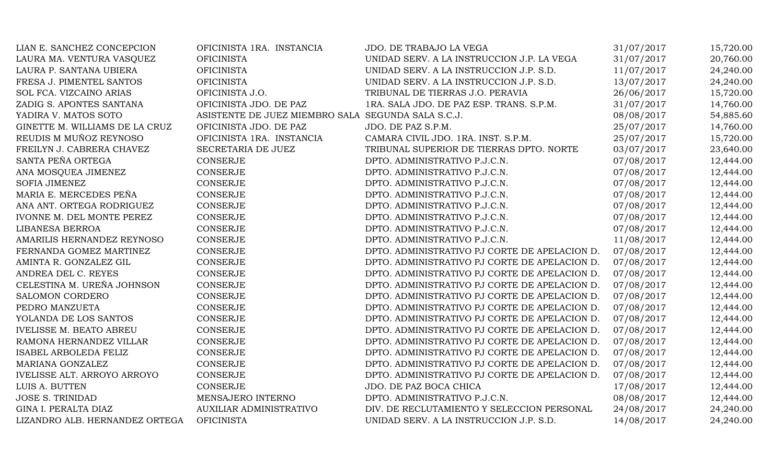| LIAN E. SANCHEZ CONCEPCION         | OFICINISTA 1RA. INSTANCIA                          | JDO. DE TRABAJO LA VEGA                       | 31/07/2017 | 15,720.00 |
|------------------------------------|----------------------------------------------------|-----------------------------------------------|------------|-----------|
| LAURA MA. VENTURA VASQUEZ          | <b>OFICINISTA</b>                                  | UNIDAD SERV. A LA INSTRUCCION J.P. LA VEGA    | 31/07/2017 | 20,760.00 |
| LAURA P. SANTANA UBIERA            | <b>OFICINISTA</b>                                  | UNIDAD SERV. A LA INSTRUCCION J.P. S.D.       | 11/07/2017 | 24,240.00 |
| FRESA J. PIMENTEL SANTOS           | <b>OFICINISTA</b>                                  | UNIDAD SERV. A LA INSTRUCCION J.P. S.D.       | 13/07/2017 | 24,240.00 |
| SOL FCA. VIZCAINO ARIAS            | OFICINISTA J.O.                                    | TRIBUNAL DE TIERRAS J.O. PERAVIA              | 26/06/2017 | 15,720.00 |
| ZADIG S. APONTES SANTANA           | OFICINISTA JDO. DE PAZ                             | 1RA. SALA JDO. DE PAZ ESP. TRANS. S.P.M.      | 31/07/2017 | 14,760.00 |
| YADIRA V. MATOS SOTO               | ASISTENTE DE JUEZ MIEMBRO SALA SEGUNDA SALA S.C.J. |                                               | 08/08/2017 | 54,885.60 |
| GINETTE M. WILLIAMS DE LA CRUZ     | OFICINISTA JDO. DE PAZ                             | JDO. DE PAZ S.P.M.                            | 25/07/2017 | 14,760.00 |
| REUDIS M MUÑOZ REYNOSO             | OFICINISTA 1RA. INSTANCIA                          | CAMARA CIVIL JDO. 1RA. INST. S.P.M.           | 25/07/2017 | 15,720.00 |
| FREILYN J. CABRERA CHAVEZ          | SECRETARIA DE JUEZ                                 | TRIBUNAL SUPERIOR DE TIERRAS DPTO. NORTE      | 03/07/2017 | 23,640.00 |
| SANTA PEÑA ORTEGA                  | <b>CONSERJE</b>                                    | DPTO. ADMINISTRATIVO P.J.C.N.                 | 07/08/2017 | 12,444.00 |
| ANA MOSQUEA JIMENEZ                | CONSERJE                                           | DPTO. ADMINISTRATIVO P.J.C.N.                 | 07/08/2017 | 12,444.00 |
| SOFIA JIMENEZ                      | CONSERJE                                           | DPTO. ADMINISTRATIVO P.J.C.N.                 | 07/08/2017 | 12,444.00 |
| MARIA E. MERCEDES PEÑA             | <b>CONSERJE</b>                                    | DPTO. ADMINISTRATIVO P.J.C.N.                 | 07/08/2017 | 12,444.00 |
| ANA ANT. ORTEGA RODRIGUEZ          | <b>CONSERJE</b>                                    | DPTO. ADMINISTRATIVO P.J.C.N.                 | 07/08/2017 | 12,444.00 |
| IVONNE M. DEL MONTE PEREZ          | <b>CONSERJE</b>                                    | DPTO. ADMINISTRATIVO P.J.C.N.                 | 07/08/2017 | 12,444.00 |
| LIBANESA BERROA                    | CONSERJE                                           | DPTO. ADMINISTRATIVO P.J.C.N.                 | 07/08/2017 | 12,444.00 |
| AMARILIS HERNANDEZ REYNOSO         | <b>CONSERJE</b>                                    | DPTO. ADMINISTRATIVO P.J.C.N.                 | 11/08/2017 | 12,444.00 |
| FERNANDA GOMEZ MARTINEZ            | CONSERJE                                           | DPTO. ADMINISTRATIVO PJ CORTE DE APELACION D. | 07/08/2017 | 12,444.00 |
| AMINTA R. GONZALEZ GIL             | <b>CONSERJE</b>                                    | DPTO. ADMINISTRATIVO PJ CORTE DE APELACION D. | 07/08/2017 | 12,444.00 |
| ANDREA DEL C. REYES                | <b>CONSERJE</b>                                    | DPTO. ADMINISTRATIVO PJ CORTE DE APELACION D. | 07/08/2017 | 12,444.00 |
| CELESTINA M. UREÑA JOHNSON         | <b>CONSERJE</b>                                    | DPTO. ADMINISTRATIVO PJ CORTE DE APELACION D. | 07/08/2017 | 12,444.00 |
| SALOMON CORDERO                    | <b>CONSERJE</b>                                    | DPTO. ADMINISTRATIVO PJ CORTE DE APELACION D. | 07/08/2017 | 12,444.00 |
| PEDRO MANZUETA                     | <b>CONSERJE</b>                                    | DPTO. ADMINISTRATIVO PJ CORTE DE APELACION D. | 07/08/2017 | 12,444.00 |
| YOLANDA DE LOS SANTOS              | <b>CONSERJE</b>                                    | DPTO. ADMINISTRATIVO PJ CORTE DE APELACION D. | 07/08/2017 | 12,444.00 |
| <b>IVELISSE M. BEATO ABREU</b>     | <b>CONSERJE</b>                                    | DPTO. ADMINISTRATIVO PJ CORTE DE APELACION D. | 07/08/2017 | 12,444.00 |
| RAMONA HERNANDEZ VILLAR            | <b>CONSERJE</b>                                    | DPTO. ADMINISTRATIVO PJ CORTE DE APELACION D. | 07/08/2017 | 12,444.00 |
| <b>ISABEL ARBOLEDA FELIZ</b>       | CONSERJE                                           | DPTO. ADMINISTRATIVO PJ CORTE DE APELACION D. | 07/08/2017 | 12,444.00 |
| MARIANA GONZALEZ                   | <b>CONSERJE</b>                                    | DPTO. ADMINISTRATIVO PJ CORTE DE APELACION D. | 07/08/2017 | 12,444.00 |
| <b>IVELISSE ALT. ARROYO ARROYO</b> | <b>CONSERJE</b>                                    | DPTO. ADMINISTRATIVO PJ CORTE DE APELACION D. | 07/08/2017 | 12,444.00 |
| LUIS A. BUTTEN                     | <b>CONSERJE</b>                                    | JDO. DE PAZ BOCA CHICA                        | 17/08/2017 | 12,444.00 |
| <b>JOSE S. TRINIDAD</b>            | MENSAJERO INTERNO                                  | DPTO. ADMINISTRATIVO P.J.C.N.                 | 08/08/2017 | 12,444.00 |
| GINA I. PERALTA DIAZ               | <b>AUXILIAR ADMINISTRATIVO</b>                     | DIV. DE RECLUTAMIENTO Y SELECCION PERSONAL    | 24/08/2017 | 24,240.00 |
| LIZANDRO ALB. HERNANDEZ ORTEGA     | <b>OFICINISTA</b>                                  | UNIDAD SERV. A LA INSTRUCCION J.P. S.D.       | 14/08/2017 | 24,240.00 |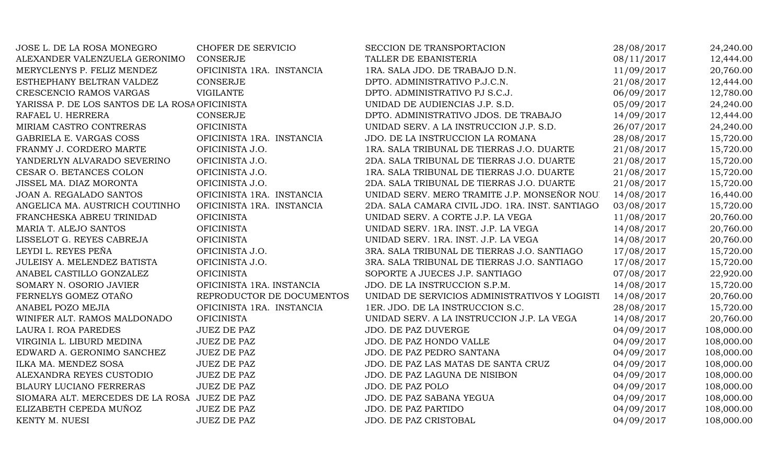| JOSE L. DE LA ROSA MONEGRO                     | CHOFER DE SERVICIO        | SECCION DE TRANSPORTACION                       | 28/08/2017 | 24,240.00  |
|------------------------------------------------|---------------------------|-------------------------------------------------|------------|------------|
| ALEXANDER VALENZUELA GERONIMO                  | <b>CONSERJE</b>           | TALLER DE EBANISTERIA                           | 08/11/2017 | 12,444.00  |
| MERYCLENYS P. FELIZ MENDEZ                     | OFICINISTA 1RA. INSTANCIA | 1RA. SALA JDO. DE TRABAJO D.N.                  | 11/09/2017 | 20,760.00  |
| ESTHEPHANY BELTRAN VALDEZ                      | <b>CONSERJE</b>           | DPTO. ADMINISTRATIVO P.J.C.N.                   | 21/08/2017 | 12,444.00  |
| CRESCENCIO RAMOS VARGAS                        | <b>VIGILANTE</b>          | DPTO. ADMINISTRATIVO PJ S.C.J.                  | 06/09/2017 | 12,780.00  |
| YARISSA P. DE LOS SANTOS DE LA ROSA OFICINISTA |                           | UNIDAD DE AUDIENCIAS J.P. S.D.                  | 05/09/2017 | 24,240.00  |
| RAFAEL U. HERRERA                              | <b>CONSERJE</b>           | DPTO. ADMINISTRATIVO JDOS. DE TRABAJO           | 14/09/2017 | 12,444.00  |
| MIRIAM CASTRO CONTRERAS                        | <b>OFICINISTA</b>         | UNIDAD SERV. A LA INSTRUCCION J.P. S.D.         | 26/07/2017 | 24,240.00  |
| GABRIELA E. VARGAS COSS                        | OFICINISTA 1RA. INSTANCIA | JDO. DE LA INSTRUCCION LA ROMANA                | 28/08/2017 | 15,720.00  |
| FRANMY J. CORDERO MARTE                        | OFICINISTA J.O.           | 1RA. SALA TRIBUNAL DE TIERRAS J.O. DUARTE       | 21/08/2017 | 15,720.00  |
| YANDERLYN ALVARADO SEVERINO                    | OFICINISTA J.O.           | 2DA. SALA TRIBUNAL DE TIERRAS J.O. DUARTE       | 21/08/2017 | 15,720.00  |
| CESAR O. BETANCES COLON                        | OFICINISTA J.O.           | 1RA. SALA TRIBUNAL DE TIERRAS J.O. DUARTE       | 21/08/2017 | 15,720.00  |
| JISSEL MA. DIAZ MORONTA                        | OFICINISTA J.O.           | 2DA. SALA TRIBUNAL DE TIERRAS J.O. DUARTE       | 21/08/2017 | 15,720.00  |
| JOAN A. REGALADO SANTOS                        | OFICINISTA 1RA. INSTANCIA | UNIDAD SERV. MERO TRAMITE J.P. MONSEÑOR NOU.    | 14/08/2017 | 16,440.00  |
| ANGELICA MA. AUSTRICH COUTINHO                 | OFICINISTA 1RA. INSTANCIA | 2DA. SALA CAMARA CIVIL JDO. 1RA. INST. SANTIAGO | 03/08/2017 | 15,720.00  |
| FRANCHESKA ABREU TRINIDAD                      | <b>OFICINISTA</b>         | UNIDAD SERV. A CORTE J.P. LA VEGA               | 11/08/2017 | 20,760.00  |
| MARIA T. ALEJO SANTOS                          | <b>OFICINISTA</b>         | UNIDAD SERV. 1RA. INST. J.P. LA VEGA            | 14/08/2017 | 20,760.00  |
| LISSELOT G. REYES CABREJA                      | <b>OFICINISTA</b>         | UNIDAD SERV. 1RA. INST. J.P. LA VEGA            | 14/08/2017 | 20,760.00  |
| LEYDI L. REYES PEÑA                            | OFICINISTA J.O.           | 3RA. SALA TRIBUNAL DE TIERRAS J.O. SANTIAGO     | 17/08/2017 | 15,720.00  |
| JULEISY A. MELENDEZ BATISTA                    | OFICINISTA J.O.           | 3RA. SALA TRIBUNAL DE TIERRAS J.O. SANTIAGO     | 17/08/2017 | 15,720.00  |
| ANABEL CASTILLO GONZALEZ                       | <b>OFICINISTA</b>         | SOPORTE A JUECES J.P. SANTIAGO                  | 07/08/2017 | 22,920.00  |
| SOMARY N. OSORIO JAVIER                        | OFICINISTA 1RA. INSTANCIA | JDO. DE LA INSTRUCCION S.P.M.                   | 14/08/2017 | 15,720.00  |
| FERNELYS GOMEZ OTAÑO                           | REPRODUCTOR DE DOCUMENTOS | UNIDAD DE SERVICIOS ADMINISTRATIVOS Y LOGISTI   | 14/08/2017 | 20,760.00  |
| ANABEL POZO MEJIA                              | OFICINISTA 1RA. INSTANCIA | 1ER. JDO. DE LA INSTRUCCION S.C.                | 28/08/2017 | 15,720.00  |
| WINIFER ALT. RAMOS MALDONADO                   | <b>OFICINISTA</b>         | UNIDAD SERV. A LA INSTRUCCION J.P. LA VEGA      | 14/08/2017 | 20,760.00  |
| LAURA I. ROA PAREDES                           | <b>JUEZ DE PAZ</b>        | JDO. DE PAZ DUVERGE                             | 04/09/2017 | 108,000.00 |
| VIRGINIA L. LIBURD MEDINA                      | <b>JUEZ DE PAZ</b>        | JDO. DE PAZ HONDO VALLE                         | 04/09/2017 | 108,000.00 |
| EDWARD A. GERONIMO SANCHEZ                     | <b>JUEZ DE PAZ</b>        | JDO. DE PAZ PEDRO SANTANA                       | 04/09/2017 | 108,000.00 |
| ILKA MA. MENDEZ SOSA                           | <b>JUEZ DE PAZ</b>        | JDO. DE PAZ LAS MATAS DE SANTA CRUZ             | 04/09/2017 | 108,000.00 |
| ALEXANDRA REYES CUSTODIO                       | <b>JUEZ DE PAZ</b>        | JDO. DE PAZ LAGUNA DE NISIBON                   | 04/09/2017 | 108,000.00 |
| <b>BLAURY LUCIANO FERRERAS</b>                 | <b>JUEZ DE PAZ</b>        | JDO. DE PAZ POLO                                | 04/09/2017 | 108,000.00 |
| SIOMARA ALT. MERCEDES DE LA ROSA JUEZ DE PAZ   |                           | JDO. DE PAZ SABANA YEGUA                        | 04/09/2017 | 108,000.00 |
| ELIZABETH CEPEDA MUÑOZ                         | <b>JUEZ DE PAZ</b>        | JDO. DE PAZ PARTIDO                             | 04/09/2017 | 108,000.00 |
| KENTY M. NUESI                                 | <b>JUEZ DE PAZ</b>        | JDO. DE PAZ CRISTOBAL                           | 04/09/2017 | 108,000.00 |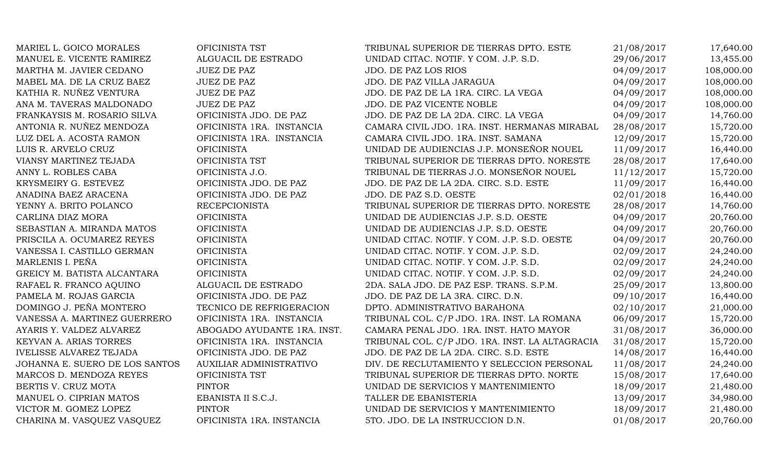| MARIEL L. GOICO MORALES        | OFICINISTA TST              | TRIBUNAL SUPERIOR DE TIERRAS DPTO. ESTE         | 21/08/2017 | 17,640.00  |
|--------------------------------|-----------------------------|-------------------------------------------------|------------|------------|
| MANUEL E. VICENTE RAMIREZ      | ALGUACIL DE ESTRADO         | UNIDAD CITAC. NOTIF. Y COM. J.P. S.D.           | 29/06/2017 | 13,455.00  |
| MARTHA M. JAVIER CEDANO        | <b>JUEZ DE PAZ</b>          | <b>JDO. DE PAZ LOS RIOS</b>                     | 04/09/2017 | 108,000.00 |
| MABEL MA. DE LA CRUZ BAEZ      | <b>JUEZ DE PAZ</b>          | JDO. DE PAZ VILLA JARAGUA                       | 04/09/2017 | 108,000.00 |
| KATHIA R. NUÑEZ VENTURA        | <b>JUEZ DE PAZ</b>          | JDO. DE PAZ DE LA 1RA. CIRC. LA VEGA            | 04/09/2017 | 108,000.00 |
| ANA M. TAVERAS MALDONADO       | <b>JUEZ DE PAZ</b>          | JDO. DE PAZ VICENTE NOBLE                       | 04/09/2017 | 108,000.00 |
| FRANKAYSIS M. ROSARIO SILVA    | OFICINISTA JDO. DE PAZ      | JDO. DE PAZ DE LA 2DA. CIRC. LA VEGA            | 04/09/2017 | 14,760.00  |
| ANTONIA R. NUÑEZ MENDOZA       | OFICINISTA 1RA. INSTANCIA   | CAMARA CIVIL JDO. 1RA. INST. HERMANAS MIRABAL   | 28/08/2017 | 15,720.00  |
| LUZ DEL A. ACOSTA RAMON        | OFICINISTA 1RA. INSTANCIA   | CAMARA CIVIL JDO. 1RA. INST. SAMANA             | 12/09/2017 | 15,720.00  |
| LUIS R. ARVELO CRUZ            | <b>OFICINISTA</b>           | UNIDAD DE AUDIENCIAS J.P. MONSEÑOR NOUEL        | 11/09/2017 | 16,440.00  |
| VIANSY MARTINEZ TEJADA         | OFICINISTA TST              | TRIBUNAL SUPERIOR DE TIERRAS DPTO. NORESTE      | 28/08/2017 | 17,640.00  |
| ANNY L. ROBLES CABA            | OFICINISTA J.O.             | TRIBUNAL DE TIERRAS J.O. MONSEÑOR NOUEL         | 11/12/2017 | 15,720.00  |
| KRYSMEIRY G. ESTEVEZ           | OFICINISTA JDO. DE PAZ      | JDO. DE PAZ DE LA 2DA. CIRC. S.D. ESTE          | 11/09/2017 | 16,440.00  |
| ANADINA BAEZ ARACENA           | OFICINISTA JDO. DE PAZ      | JDO. DE PAZ S.D. OESTE                          | 02/01/2018 | 16,440.00  |
| YENNY A. BRITO POLANCO         | <b>RECEPCIONISTA</b>        | TRIBUNAL SUPERIOR DE TIERRAS DPTO. NORESTE      | 28/08/2017 | 14,760.00  |
| CARLINA DIAZ MORA              | <b>OFICINISTA</b>           | UNIDAD DE AUDIENCIAS J.P. S.D. OESTE            | 04/09/2017 | 20,760.00  |
| SEBASTIAN A. MIRANDA MATOS     | <b>OFICINISTA</b>           | UNIDAD DE AUDIENCIAS J.P. S.D. OESTE            | 04/09/2017 | 20,760.00  |
| PRISCILA A. OCUMAREZ REYES     | <b>OFICINISTA</b>           | UNIDAD CITAC. NOTIF. Y COM. J.P. S.D. OESTE     | 04/09/2017 | 20,760.00  |
| VANESSA I. CASTILLO GERMAN     | <b>OFICINISTA</b>           | UNIDAD CITAC. NOTIF. Y COM. J.P. S.D.           | 02/09/2017 | 24,240.00  |
| MARLENIS I. PEÑA               | <b>OFICINISTA</b>           | UNIDAD CITAC. NOTIF. Y COM. J.P. S.D.           | 02/09/2017 | 24,240.00  |
| GREICY M. BATISTA ALCANTARA    | <b>OFICINISTA</b>           | UNIDAD CITAC. NOTIF. Y COM. J.P. S.D.           | 02/09/2017 | 24,240.00  |
| RAFAEL R. FRANCO AQUINO        | ALGUACIL DE ESTRADO         | 2DA. SALA JDO. DE PAZ ESP. TRANS. S.P.M.        | 25/09/2017 | 13,800.00  |
| PAMELA M. ROJAS GARCIA         | OFICINISTA JDO. DE PAZ      | JDO. DE PAZ DE LA 3RA. CIRC. D.N.               | 09/10/2017 | 16,440.00  |
| DOMINGO J. PEÑA MONTERO        | TECNICO DE REFRIGERACION    | DPTO. ADMINISTRATIVO BARAHONA                   | 02/10/2017 | 21,000.00  |
| VANESSA A. MARTINEZ GUERRERO   | OFICINISTA 1RA. INSTANCIA   | TRIBUNAL COL. C/P JDO. 1RA. INST. LA ROMANA     | 06/09/2017 | 15,720.00  |
| AYARIS Y. VALDEZ ALVAREZ       | ABOGADO AYUDANTE 1RA. INST. | CAMARA PENAL JDO. 1RA. INST. HATO MAYOR         | 31/08/2017 | 36,000.00  |
| KEYVAN A. ARIAS TORRES         | OFICINISTA 1RA. INSTANCIA   | TRIBUNAL COL. C/P JDO. 1RA. INST. LA ALTAGRACIA | 31/08/2017 | 15,720.00  |
| <b>IVELISSE ALVAREZ TEJADA</b> | OFICINISTA JDO. DE PAZ      | JDO. DE PAZ DE LA 2DA. CIRC. S.D. ESTE          | 14/08/2017 | 16,440.00  |
| JOHANNA E. SUERO DE LOS SANTOS | AUXILIAR ADMINISTRATIVO     | DIV. DE RECLUTAMIENTO Y SELECCION PERSONAL      | 11/08/2017 | 24,240.00  |
| MARCOS D. MENDOZA REYES        | OFICINISTA TST              | TRIBUNAL SUPERIOR DE TIERRAS DPTO. NORTE        | 15/08/2017 | 17,640.00  |
| BERTIS V. CRUZ MOTA            | <b>PINTOR</b>               | UNIDAD DE SERVICIOS Y MANTENIMIENTO             | 18/09/2017 | 21,480.00  |
| MANUEL O. CIPRIAN MATOS        | EBANISTA II S.C.J.          | TALLER DE EBANISTERIA                           | 13/09/2017 | 34,980.00  |
| VICTOR M. GOMEZ LOPEZ          | <b>PINTOR</b>               | UNIDAD DE SERVICIOS Y MANTENIMIENTO             | 18/09/2017 | 21,480.00  |
| CHARINA M. VASQUEZ VASQUEZ     | OFICINISTA 1RA. INSTANCIA   | 5TO. JDO. DE LA INSTRUCCION D.N.                | 01/08/2017 | 20,760.00  |
|                                |                             |                                                 |            |            |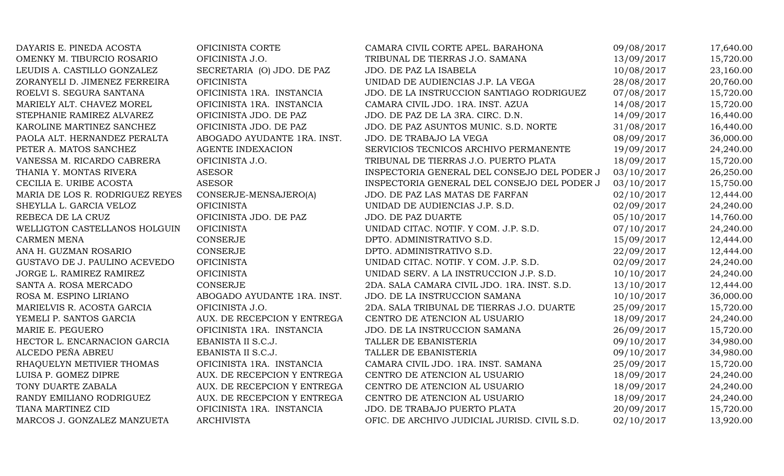| DAYARIS E. PINEDA ACOSTA        | OFICINISTA CORTE            | CAMARA CIVIL CORTE APEL. BARAHONA            | 09/08/2017 | 17,640.00 |
|---------------------------------|-----------------------------|----------------------------------------------|------------|-----------|
| OMENKY M. TIBURCIO ROSARIO      | OFICINISTA J.O.             | TRIBUNAL DE TIERRAS J.O. SAMANA              | 13/09/2017 | 15,720.00 |
| LEUDIS A. CASTILLO GONZALEZ     | SECRETARIA (O) JDO. DE PAZ  | JDO. DE PAZ LA ISABELA                       | 10/08/2017 | 23,160.00 |
| ZORANYELI D. JIMENEZ FERREIRA   | <b>OFICINISTA</b>           | UNIDAD DE AUDIENCIAS J.P. LA VEGA            | 28/08/2017 | 20,760.00 |
| ROELVI S. SEGURA SANTANA        | OFICINISTA 1RA. INSTANCIA   | JDO. DE LA INSTRUCCION SANTIAGO RODRIGUEZ    | 07/08/2017 | 15,720.00 |
| MARIELY ALT. CHAVEZ MOREL       | OFICINISTA 1RA. INSTANCIA   | CAMARA CIVIL JDO. 1RA. INST. AZUA            | 14/08/2017 | 15,720.00 |
| STEPHANIE RAMIREZ ALVAREZ       | OFICINISTA JDO. DE PAZ      | JDO. DE PAZ DE LA 3RA. CIRC. D.N.            | 14/09/2017 | 16,440.00 |
| KAROLINE MARTINEZ SANCHEZ       | OFICINISTA JDO. DE PAZ      | JDO. DE PAZ ASUNTOS MUNIC. S.D. NORTE        | 31/08/2017 | 16,440.00 |
| PAOLA ALT. HERNANDEZ PERALTA    | ABOGADO AYUDANTE 1RA. INST. | JDO. DE TRABAJO LA VEGA                      | 08/09/2017 | 36,000.00 |
| PETER A. MATOS SANCHEZ          | <b>AGENTE INDEXACION</b>    | SERVICIOS TECNICOS ARCHIVO PERMANENTE        | 19/09/2017 | 24,240.00 |
| VANESSA M. RICARDO CABRERA      | OFICINISTA J.O.             | TRIBUNAL DE TIERRAS J.O. PUERTO PLATA        | 18/09/2017 | 15,720.00 |
| THANIA Y. MONTAS RIVERA         | <b>ASESOR</b>               | INSPECTORIA GENERAL DEL CONSEJO DEL PODER J  | 03/10/2017 | 26,250.00 |
| CECILIA E. URIBE ACOSTA         | <b>ASESOR</b>               | INSPECTORIA GENERAL DEL CONSEJO DEL PODER J  | 03/10/2017 | 15,750.00 |
| MARIA DE LOS R. RODRIGUEZ REYES | CONSERJE-MENSAJERO(A)       | JDO. DE PAZ LAS MATAS DE FARFAN              | 02/10/2017 | 12,444.00 |
| SHEYLLA L. GARCIA VELOZ         | <b>OFICINISTA</b>           | UNIDAD DE AUDIENCIAS J.P. S.D.               | 02/09/2017 | 24,240.00 |
| REBECA DE LA CRUZ               | OFICINISTA JDO. DE PAZ      | JDO. DE PAZ DUARTE                           | 05/10/2017 | 14,760.00 |
| WELLIGTON CASTELLANOS HOLGUIN   | <b>OFICINISTA</b>           | UNIDAD CITAC. NOTIF. Y COM. J.P. S.D.        | 07/10/2017 | 24,240.00 |
| <b>CARMEN MENA</b>              | <b>CONSERJE</b>             | DPTO. ADMINISTRATIVO S.D.                    | 15/09/2017 | 12,444.00 |
| ANA H. GUZMAN ROSARIO           | CONSERJE                    | DPTO. ADMINISTRATIVO S.D.                    | 22/09/2017 | 12,444.00 |
| GUSTAVO DE J. PAULINO ACEVEDO   | <b>OFICINISTA</b>           | UNIDAD CITAC. NOTIF. Y COM. J.P. S.D.        | 02/09/2017 | 24,240.00 |
| JORGE L. RAMIREZ RAMIREZ        | <b>OFICINISTA</b>           | UNIDAD SERV. A LA INSTRUCCION J.P. S.D.      | 10/10/2017 | 24,240.00 |
| SANTA A. ROSA MERCADO           | <b>CONSERJE</b>             | 2DA. SALA CAMARA CIVIL JDO. 1RA. INST. S.D.  | 13/10/2017 | 12,444.00 |
| ROSA M. ESPINO LIRIANO          | ABOGADO AYUDANTE 1RA. INST. | JDO. DE LA INSTRUCCION SAMANA                | 10/10/2017 | 36,000.00 |
| MARIELVIS R. ACOSTA GARCIA      | OFICINISTA J.O.             | 2DA. SALA TRIBUNAL DE TIERRAS J.O. DUARTE    | 25/09/2017 | 15,720.00 |
| YEMELI P. SANTOS GARCIA         | AUX. DE RECEPCION Y ENTREGA | CENTRO DE ATENCION AL USUARIO                | 18/09/2017 | 24,240.00 |
| MARIE E. PEGUERO                | OFICINISTA 1RA. INSTANCIA   | JDO. DE LA INSTRUCCION SAMANA                | 26/09/2017 | 15,720.00 |
| HECTOR L. ENCARNACION GARCIA    | EBANISTA II S.C.J.          | TALLER DE EBANISTERIA                        | 09/10/2017 | 34,980.00 |
| ALCEDO PEÑA ABREU               | EBANISTA II S.C.J.          | TALLER DE EBANISTERIA                        | 09/10/2017 | 34,980.00 |
| RHAQUELYN METIVIER THOMAS       | OFICINISTA 1RA. INSTANCIA   | CAMARA CIVIL JDO. 1RA. INST. SAMANA          | 25/09/2017 | 15,720.00 |
| LUISA P. GOMEZ DIPRE            | AUX. DE RECEPCION Y ENTREGA | CENTRO DE ATENCION AL USUARIO                | 18/09/2017 | 24,240.00 |
| TONY DUARTE ZABALA              | AUX. DE RECEPCION Y ENTREGA | CENTRO DE ATENCION AL USUARIO                | 18/09/2017 | 24,240.00 |
| RANDY EMILIANO RODRIGUEZ        | AUX. DE RECEPCION Y ENTREGA | CENTRO DE ATENCION AL USUARIO                | 18/09/2017 | 24,240.00 |
| TIANA MARTINEZ CID              | OFICINISTA 1RA. INSTANCIA   | JDO. DE TRABAJO PUERTO PLATA                 | 20/09/2017 | 15,720.00 |
| MARCOS J. GONZALEZ MANZUETA     | <b>ARCHIVISTA</b>           | OFIC. DE ARCHIVO JUDICIAL JURISD. CIVIL S.D. | 02/10/2017 | 13,920.00 |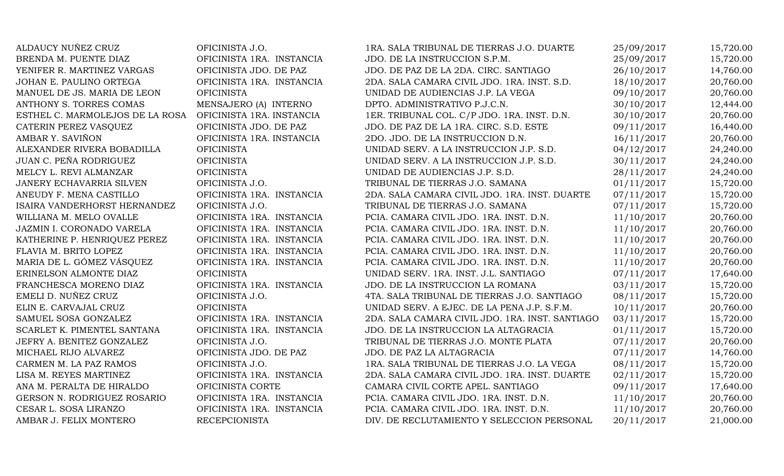| ALDAUCY NUÑEZ CRUZ              | OFICINISTA J.O.           | 1RA. SALA TRIBUNAL DE TIERRAS J.O. DUARTE       | 25/09/2017 | 15,720.00 |
|---------------------------------|---------------------------|-------------------------------------------------|------------|-----------|
| BRENDA M. PUENTE DIAZ           | OFICINISTA 1RA. INSTANCIA | JDO. DE LA INSTRUCCION S.P.M.                   | 25/09/2017 | 15,720.00 |
| YENIFER R. MARTINEZ VARGAS      | OFICINISTA JDO. DE PAZ    | JDO. DE PAZ DE LA 2DA. CIRC. SANTIAGO           | 26/10/2017 | 14,760.00 |
| JOHAN E. PAULINO ORTEGA         | OFICINISTA 1RA. INSTANCIA | 2DA. SALA CAMARA CIVIL JDO. 1RA. INST. S.D.     | 18/10/2017 | 20,760.00 |
| MANUEL DE JS. MARIA DE LEON     | <b>OFICINISTA</b>         | UNIDAD DE AUDIENCIAS J.P. LA VEGA               | 09/10/2017 | 20,760.00 |
| ANTHONY S. TORRES COMAS         | MENSAJERO (A) INTERNO     | DPTO. ADMINISTRATIVO P.J.C.N.                   | 30/10/2017 | 12,444.00 |
| ESTHEL C. MARMOLEJOS DE LA ROSA | OFICINISTA 1RA. INSTANCIA | 1ER. TRIBUNAL COL. C/P JDO. 1RA. INST. D.N.     | 30/10/2017 | 20,760.00 |
| CATERIN PEREZ VASQUEZ           | OFICINISTA JDO. DE PAZ    | JDO. DE PAZ DE LA 1RA. CIRC. S.D. ESTE          | 09/11/2017 | 16,440.00 |
| AMBAR Y. SAVIÑON                | OFICINISTA 1RA. INSTANCIA | 2DO. JDO. DE LA INSTRUCCION D.N.                | 16/11/2017 | 20,760.00 |
| ALEXANDER RIVERA BOBADILLA      | <b>OFICINISTA</b>         | UNIDAD SERV. A LA INSTRUCCION J.P. S.D.         | 04/12/2017 | 24,240.00 |
| JUAN C. PEÑA RODRIGUEZ          | <b>OFICINISTA</b>         | UNIDAD SERV. A LA INSTRUCCION J.P. S.D.         | 30/11/2017 | 24,240.00 |
| MELCY L. REVI ALMANZAR          | <b>OFICINISTA</b>         | UNIDAD DE AUDIENCIAS J.P. S.D.                  | 28/11/2017 | 24,240.00 |
| JANERY ECHAVARRIA SILVEN        | OFICINISTA J.O.           | TRIBUNAL DE TIERRAS J.O. SAMANA                 | 01/11/2017 | 15,720.00 |
| ANEUDY F. MENA CASTILLO         | OFICINISTA 1RA. INSTANCIA | 2DA. SALA CAMARA CIVIL JDO. 1RA. INST. DUARTE   | 07/11/2017 | 15,720.00 |
| ISAIRA VANDERHORST HERNANDEZ    | OFICINISTA J.O.           | TRIBUNAL DE TIERRAS J.O. SAMANA                 | 07/11/2017 | 15,720.00 |
| WILLIANA M. MELO OVALLE         | OFICINISTA 1RA. INSTANCIA | PCIA. CAMARA CIVIL JDO. 1RA. INST. D.N.         | 11/10/2017 | 20,760.00 |
| JAZMIN I. CORONADO VARELA       | OFICINISTA 1RA. INSTANCIA | PCIA. CAMARA CIVIL JDO. 1RA. INST. D.N.         | 11/10/2017 | 20,760.00 |
| KATHERINE P. HENRIQUEZ PEREZ    | OFICINISTA 1RA. INSTANCIA | PCIA. CAMARA CIVIL JDO. 1RA. INST. D.N.         | 11/10/2017 | 20,760.00 |
| FLAVIA M. BRITO LOPEZ           | OFICINISTA 1RA. INSTANCIA | PCIA. CAMARA CIVIL JDO. 1RA. INST. D.N.         | 11/10/2017 | 20,760.00 |
| MARIA DE L. GÓMEZ VÁSQUEZ       | OFICINISTA 1RA. INSTANCIA | PCIA. CAMARA CIVIL JDO. 1RA. INST. D.N.         | 11/10/2017 | 20,760.00 |
| ERINELSON ALMONTE DIAZ          | <b>OFICINISTA</b>         | UNIDAD SERV. 1RA. INST. J.L. SANTIAGO           | 07/11/2017 | 17,640.00 |
| FRANCHESCA MORENO DIAZ          | OFICINISTA 1RA. INSTANCIA | JDO. DE LA INSTRUCCION LA ROMANA                | 03/11/2017 | 15,720.00 |
| EMELI D. NUÑEZ CRUZ             | OFICINISTA J.O.           | 4TA. SALA TRIBUNAL DE TIERRAS J.O. SANTIAGO     | 08/11/2017 | 15,720.00 |
| ELIN E. CARVAJAL CRUZ           | <b>OFICINISTA</b>         | UNIDAD SERV. A EJEC. DE LA PENA J.P. S.F.M.     | 10/11/2017 | 20,760.00 |
| SAMUEL SOSA GONZALEZ            | OFICINISTA 1RA. INSTANCIA | 2DA. SALA CAMARA CIVIL JDO. 1RA. INST. SANTIAGO | 03/11/2017 | 15,720.00 |
| SCARLET K. PIMENTEL SANTANA     | OFICINISTA 1RA. INSTANCIA | JDO. DE LA INSTRUCCION LA ALTAGRACIA            | 01/11/2017 | 15,720.00 |
| JEFRY A. BENITEZ GONZALEZ       | OFICINISTA J.O.           | TRIBUNAL DE TIERRAS J.O. MONTE PLATA            | 07/11/2017 | 20,760.00 |
| MICHAEL RIJO ALVAREZ            | OFICINISTA JDO. DE PAZ    | JDO. DE PAZ LA ALTAGRACIA                       | 07/11/2017 | 14,760.00 |
| CARMEN M. LA PAZ RAMOS          | OFICINISTA J.O.           | 1RA. SALA TRIBUNAL DE TIERRAS J.O. LA VEGA      | 08/11/2017 | 15,720.00 |
| LISA M. REYES MARTINEZ          | OFICINISTA 1RA. INSTANCIA | 2DA. SALA CAMARA CIVIL JDO. 1RA. INST. DUARTE   | 02/11/2017 | 15,720.00 |
| ANA M. PERALTA DE HIRALDO       | OFICINISTA CORTE          | CAMARA CIVIL CORTE APEL. SANTIAGO               | 09/11/2017 | 17,640.00 |
| GERSON N. RODRIGUEZ ROSARIO     | OFICINISTA 1RA. INSTANCIA | PCIA. CAMARA CIVIL JDO. 1RA. INST. D.N.         | 11/10/2017 | 20,760.00 |
| CESAR L. SOSA LIRANZO           | OFICINISTA 1RA. INSTANCIA | PCIA. CAMARA CIVIL JDO. 1RA. INST. D.N.         | 11/10/2017 | 20,760.00 |
| AMBAR J. FELIX MONTERO          | <b>RECEPCIONISTA</b>      | DIV. DE RECLUTAMIENTO Y SELECCION PERSONAL      | 20/11/2017 | 21,000.00 |